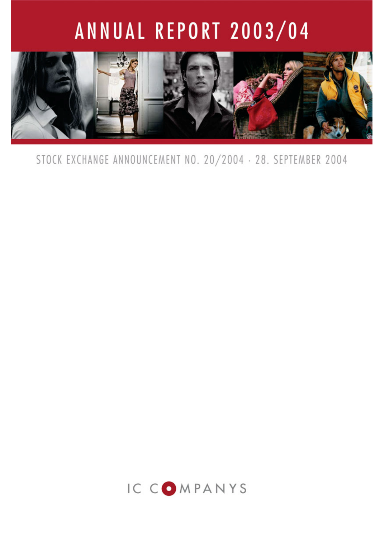# ANNUAL REPORT 2003/04



STOCK EXCHANGE ANNOUNCEMENT NO. 20/2004 · 28. SEPTEMBER 2004

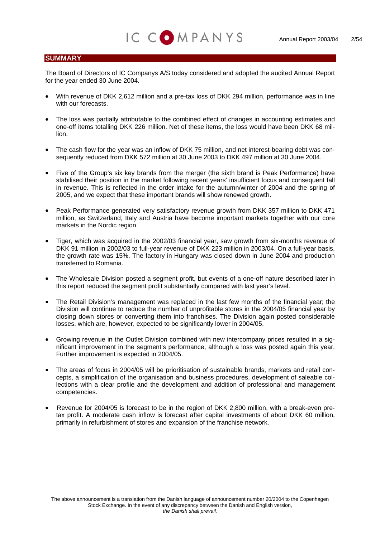### **SUMMARY**

The Board of Directors of IC Companys A/S today considered and adopted the audited Annual Report for the year ended 30 June 2004.

IC COMPANYS

- With revenue of DKK 2,612 million and a pre-tax loss of DKK 294 million, performance was in line with our forecasts.
- The loss was partially attributable to the combined effect of changes in accounting estimates and one-off items totalling DKK 226 million. Net of these items, the loss would have been DKK 68 million.
- The cash flow for the year was an inflow of DKK 75 million, and net interest-bearing debt was consequently reduced from DKK 572 million at 30 June 2003 to DKK 497 million at 30 June 2004.
- Five of the Group's six key brands from the merger (the sixth brand is Peak Performance) have stabilised their position in the market following recent years' insufficient focus and consequent fall in revenue. This is reflected in the order intake for the autumn/winter of 2004 and the spring of 2005, and we expect that these important brands will show renewed growth.
- Peak Performance generated very satisfactory revenue growth from DKK 357 million to DKK 471 million, as Switzerland, Italy and Austria have become important markets together with our core markets in the Nordic region.
- Tiger, which was acquired in the 2002/03 financial year, saw growth from six-months revenue of DKK 91 million in 2002/03 to full-year revenue of DKK 223 million in 2003/04. On a full-year basis, the growth rate was 15%. The factory in Hungary was closed down in June 2004 and production transferred to Romania.
- The Wholesale Division posted a segment profit, but events of a one-off nature described later in this report reduced the segment profit substantially compared with last year's level.
- The Retail Division's management was replaced in the last few months of the financial year; the Division will continue to reduce the number of unprofitable stores in the 2004/05 financial year by closing down stores or converting them into franchises. The Division again posted considerable losses, which are, however, expected to be significantly lower in 2004/05.
- Growing revenue in the Outlet Division combined with new intercompany prices resulted in a significant improvement in the segment's performance, although a loss was posted again this year. Further improvement is expected in 2004/05.
- The areas of focus in 2004/05 will be prioritisation of sustainable brands, markets and retail concepts, a simplification of the organisation and business procedures, development of saleable collections with a clear profile and the development and addition of professional and management competencies.
- Revenue for 2004/05 is forecast to be in the region of DKK 2,800 million, with a break-even pretax profit. A moderate cash inflow is forecast after capital investments of about DKK 60 million, primarily in refurbishment of stores and expansion of the franchise network.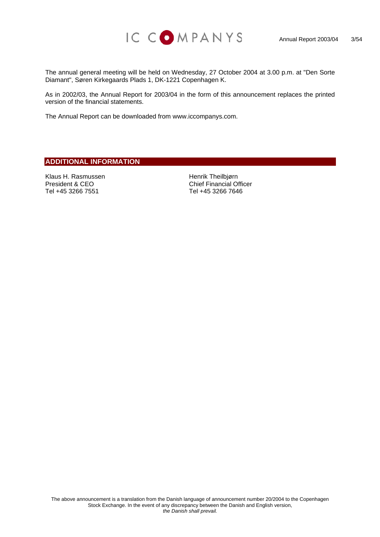

The annual general meeting will be held on Wednesday, 27 October 2004 at 3.00 p.m. at "Den Sorte Diamant", Søren Kirkegaards Plads 1, DK-1221 Copenhagen K.

As in 2002/03, the Annual Report for 2003/04 in the form of this announcement replaces the printed version of the financial statements.

The Annual Report can be downloaded from [www.iccompanys.com.](http://www.iccompanys.com/)

## **ADDITIONAL INFORMATION**

Klaus H. Rasmussen President & CEO Tel +45 3266 7551

Henrik Theilbjørn Chief Financial Officer Tel +45 3266 7646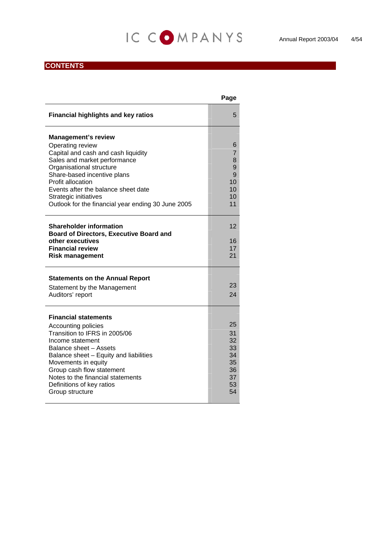## IC COMPANYS Annual Report 2003/04 4/54

## **CONTENTS**

|                                                                             | Page            |
|-----------------------------------------------------------------------------|-----------------|
| <b>Financial highlights and key ratios</b>                                  | 5               |
| <b>Management's review</b>                                                  |                 |
| Operating review                                                            | 6               |
| Capital and cash and cash liquidity                                         | $\overline{7}$  |
| Sales and market performance<br>Organisational structure                    | 8<br>9          |
| Share-based incentive plans                                                 | 9               |
| Profit allocation                                                           | 10 <sup>1</sup> |
| Events after the balance sheet date                                         | 10 <sup>1</sup> |
| Strategic initiatives<br>Outlook for the financial year ending 30 June 2005 | 10<br>11        |
|                                                                             |                 |
|                                                                             |                 |
| <b>Shareholder information</b>                                              | 12              |
| <b>Board of Directors, Executive Board and</b><br>other executives          | 16              |
| <b>Financial review</b>                                                     | 17              |
| <b>Risk management</b>                                                      | 21              |
| <b>Statements on the Annual Report</b>                                      |                 |
| Statement by the Management                                                 | 23              |
| Auditors' report                                                            | 24              |
|                                                                             |                 |
| <b>Financial statements</b>                                                 |                 |
| Accounting policies                                                         | 25              |
| Transition to IFRS in 2005/06                                               | 31              |
| Income statement                                                            | 32              |
| Balance sheet - Assets<br>Balance sheet - Equity and liabilities            | 33<br>34        |
| Movements in equity                                                         | 35              |
| Group cash flow statement                                                   | 36              |
| Notes to the financial statements                                           | 37              |
| Definitions of key ratios                                                   | 53<br>54        |
| Group structure                                                             |                 |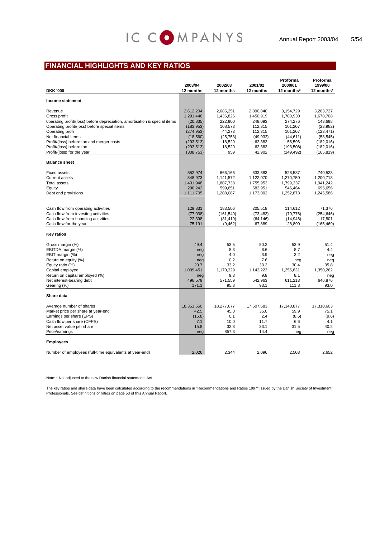## IC COMPANYS

## **FINANCIAL HIGHLIGHTS AND KEY RATIOS**

| <b>DKK '000</b>                                                           | 2003/04<br>12 months | 2002/03<br>12 months | 2001/02<br>12 months | Proforma<br>2000/01<br>12 months* | Proforma<br>1999/00<br>12 months* |
|---------------------------------------------------------------------------|----------------------|----------------------|----------------------|-----------------------------------|-----------------------------------|
| Income statement                                                          |                      |                      |                      |                                   |                                   |
| Revenue                                                                   | 2,612,204            | 2,685,251            | 2,890,840            | 3,154,729                         | 3,263,727                         |
| Gross profit                                                              | 1,291,446            | 1,436,826            | 1,450,919            | 1,700,930                         | 1,678,708                         |
| Operating profit/(loss) before depreciation, amortisation & special items | (20, 835)            | 222,900              | 248,093              | 274,276                           | 143,698                           |
| Operating profit/(loss) before special items                              | (183, 953)           | 108,573              | 112,315              | 101,207                           | (23,982)                          |
| Operating profi                                                           | (274, 953)           | 44,273               | 112,315              | 101,207                           | (123, 471)                        |
| Net financial items                                                       | (18, 560)            | (25, 753)            | (49, 932)            | (44, 611)                         | (58, 545)                         |
| Profit/(loss) before tax and merger costs                                 | (293, 513)           | 18,520               | 62,383               | 56,596                            | (182, 016)                        |
| Profit/(loss) before tax                                                  | (293, 513)           | 18,520               | 62,383               | (193, 508)                        | (182, 016)                        |
| Profit/(loss) for the year                                                | (308, 753)           | 959                  | 42,902               | (149, 492)                        | (165, 819)                        |
| <b>Balance sheet</b>                                                      |                      |                      |                      |                                   |                                   |
| <b>Fixed assets</b>                                                       | 552,974              | 666,166              | 633,883              | 528,587                           | 740,523                           |
| <b>Current assets</b>                                                     | 848,973              | 1,141,572            | 1,122,070            | 1,270,750                         | 1,200,718                         |
| <b>Total assets</b>                                                       | 1,401,948            | 1,807,738            | 1,755,953            | 1,799,337                         | 1,941,242                         |
| Equity                                                                    | 290,242              | 599,651              | 582,951              | 546,464                           | 695,656                           |
| Debt and provisions                                                       | 1,111,705            | 1,208,087            | 1,173,002            | 1,252,873                         | 1,245,586                         |
|                                                                           |                      |                      |                      |                                   |                                   |
| Cash flow from operating activities                                       | 129,831              | 183.506              | 205.518              | 114.612                           | 71,376                            |
| Cash flow from investing activities                                       | (77, 038)            | (161, 549)           | (73, 483)            | (70, 776)                         | (254, 646)                        |
| Cash flow from financing activities                                       | 22,398               | (31, 419)            | (64, 146)            | (14, 946)                         | 17,801                            |
| Cash flow for the year                                                    | 75,191               | (9, 462)             | 67,889               | 28,890                            | (165, 469)                        |
| Key ratios                                                                |                      |                      |                      |                                   |                                   |
| Gross margin (%)                                                          | 49.4                 | 53.5                 | 50.2                 | 53.9                              | 51.4                              |
| EBITDA margin (%)                                                         | neg                  | 8.3                  | 8.6                  | 8.7                               | 4.4                               |
| EBIT margin (%)                                                           | neg                  | 4.0                  | 3.9                  | 3.2                               | neg                               |
| Return on equity (%)                                                      | neg                  | 0.2                  | 7.6                  | neg                               | neg                               |
| Equity ratio (%)                                                          | 20.7                 | 33.2                 | 33.2                 | 30.4                              | 35.8                              |
| Capital employed                                                          | 1,039,451            | 1,170,329            | 1,142,223            | 1,255,831                         | 1,350,262                         |
| Return on capital employed (%)                                            | neg                  | 9.3                  | 9.8                  | 8.1                               | neg                               |
| Net interest-bearing debt                                                 | 496,579              | 571,559              | 542,963              | 611,213                           | 646,876                           |
| Gearing (%)                                                               | 171.1                | 95.3                 | 93.1                 | 111.8                             | 93.0                              |
| Share data                                                                |                      |                      |                      |                                   |                                   |
| Average number of shares                                                  | 18,351,650           | 18,277,677           | 17,607,683           | 17,340,877                        | 17,310,603                        |
| Market price per share at year-end                                        | 42.5                 | 45.0                 | 35.0                 | 59.9                              | 75.1                              |
| Earnings per share (EPS)                                                  | (16.8)               | 0.1                  | 2.4                  | (8.6)                             | (9.6)                             |
| Cash flow per share (CFPS)                                                | 7.1                  | 10.0                 | 11.7                 | 6.6                               | 4.1                               |
| Net asset value per share                                                 | 15.8                 | 32.8                 | 33.1                 | 31.5                              | 40.2                              |
| Price/earnings                                                            | neg                  | 857.3                | 14.4                 | neg                               | neg                               |
| <b>Employees</b>                                                          |                      |                      |                      |                                   |                                   |
| Number of employees (full-time equivalents at year-end)                   | 2,026                | 2.344                | 2.096                | 2.503                             | 2.652                             |

Note: \* Not adjusted to the new Danish financial statements Act

The key ratios and share data have been calculated according to the recommendations in "Recommendations and Ratios 1997" issued by the Danish Society of Investment Professionals. See definitions of ratios on page 53 of this Annual Report.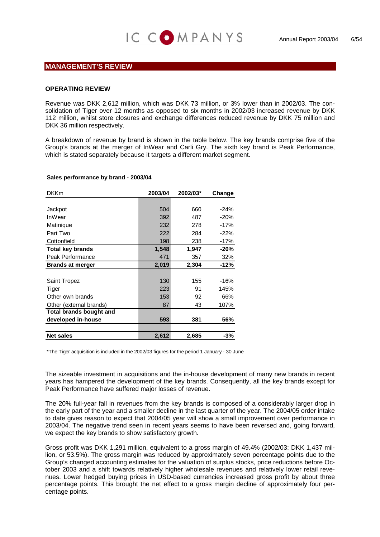### **MANAGEMENT'S REVIEW**

#### **OPERATING REVIEW**

Revenue was DKK 2,612 million, which was DKK 73 million, or 3% lower than in 2002/03. The consolidation of Tiger over 12 months as opposed to six months in 2002/03 increased revenue by DKK 112 million, whilst store closures and exchange differences reduced revenue by DKK 75 million and DKK 36 million respectively.

A breakdown of revenue by brand is shown in the table below. The key brands comprise five of the Group's brands at the merger of InWear and Carli Gry. The sixth key brand is Peak Performance, which is stated separately because it targets a different market segment.

#### **Sales performance by brand - 2003/04**

| <b>DKKm</b>             | 2003/04 | 2002/03* | Change |
|-------------------------|---------|----------|--------|
|                         |         |          |        |
| Jackpot                 | 504     | 660      | $-24%$ |
| InWear                  | 392     | 487      | $-20%$ |
| Matinique               | 232     | 278      | $-17%$ |
| Part Two                | 222     | 284      | $-22%$ |
| Cottonfield             | 198     | 238      | $-17%$ |
| <b>Total key brands</b> | 1,548   | 1,947    | $-20%$ |
| Peak Performance        | 471     | 357      | 32%    |
| <b>Brands at merger</b> | 2,019   | 2,304    | -12%   |
|                         |         |          |        |
| Saint Tropez            | 130     | 155      | $-16%$ |
| Tiger                   | 223     | 91       | 145%   |
| Other own brands        | 153     | 92       | 66%    |
| Other (external brands) | 87      | 43       | 107%   |
| Total brands bought and |         |          |        |
| developed in-house      | 593     | 381      | 56%    |
|                         |         |          |        |
| <b>Net sales</b>        | 2,612   | 2,685    | -3%    |

\*The Tiger acquisition is included in the 2002/03 figures for the period 1 January - 30 June

The sizeable investment in acquisitions and the in-house development of many new brands in recent years has hampered the development of the key brands. Consequently, all the key brands except for Peak Performance have suffered major losses of revenue.

The 20% full-year fall in revenues from the key brands is composed of a considerably larger drop in the early part of the year and a smaller decline in the last quarter of the year. The 2004/05 order intake to date gives reason to expect that 2004/05 year will show a small improvement over performance in 2003/04. The negative trend seen in recent years seems to have been reversed and, going forward, we expect the key brands to show satisfactory growth.

Gross profit was DKK 1,291 million, equivalent to a gross margin of 49.4% (2002/03: DKK 1,437 milcentage points. lion, or 53.5%). The gross margin was reduced by approximately seven percentage points due to the Group's changed accounting estimates for the valuation of surplus stocks, price reductions before October 2003 and a shift towards relatively higher wholesale revenues and relatively lower retail revenues. Lower hedged buying prices in USD-based currencies increased gross profit by about three percentage points. This brought the net effect to a gross margin decline of approximately four per-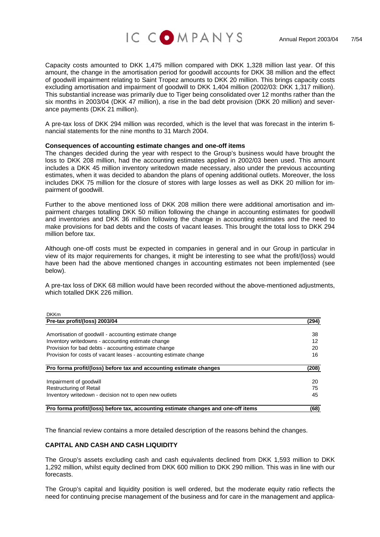

Capacity costs amounted to DKK 1,475 million compared with DKK 1,328 million last year. Of this amount, the change in the amortisation period for goodwill accounts for DKK 38 million and the effect of goodwill impairment relating to Saint Tropez amounts to DKK 20 million. This brings capacity costs excluding amortisation and impairment of goodwill to DKK 1,404 million (2002/03: DKK 1,317 million). This substantial increase was primarily due to Tiger being consolidated over 12 months rather than the six months in 2003/04 (DKK 47 million), a rise in the bad debt provision (DKK 20 million) and severance payments (DKK 21 million).

A pre-tax loss of DKK 294 million was recorded, which is the level that was forecast in the interim fiancial statements for the nine months to 31 March 2004. n

#### **Consequences of accounting estimate changes and one-off items**

The changes decided during the year with respect to the Group's business would have brought the loss to DKK 208 million, had the accounting estimates applied in 2002/03 been used. This amount includes a DKK 45 million inventory writedown made necessary, also under the previous accounting estimates, when it was decided to abandon the plans of opening additional outlets. Moreover, the loss includes DKK 75 million for the closure of stores with large losses as well as DKK 20 million for impairment of goodwill.

Further to the above mentioned loss of DKK 208 million there were additional amortisation and impairment charges totalling DKK 50 million following the change in accounting estimates for goodwill and inventories and DKK 36 million following the change in accounting estimates and the need to make provisions for bad debts and the costs of vacant leases. This brought the total loss to DKK 294 million before tax.

Although one-off costs must be expected in companies in general and in our Group in particular in view of its major requirements for changes, it might be interesting to see what the profit/(loss) would have been had the above mentioned changes in accounting estimates not been implemented (see below).

A pre-tax loss of DKK 68 million would have been recorded without the above-mentioned adjustments, which totalled DKK 226 million.

| <b>DKKm</b>                                                                       |       |
|-----------------------------------------------------------------------------------|-------|
| Pre-tax profit/(loss) 2003/04                                                     | (294) |
|                                                                                   |       |
| Amortisation of goodwill - accounting estimate change                             | 38    |
| Inventory writedowns - accounting estimate change                                 | 12    |
| Provision for bad debts - accounting estimate change                              | 20    |
| Provision for costs of vacant leases - accounting estimate change                 | 16    |
| Pro forma profit/(loss) before tax and accounting estimate changes                | (208) |
| Impairment of goodwill                                                            | 20    |
| Restructuring of Retail                                                           | 75    |
| Inventory writedown - decision not to open new outlets                            | 45    |
| Pro forma profit/(loss) before tax, accounting estimate changes and one-off items | (68)  |

The financial review contains a more detailed description of the reasons behind the changes.

#### **CAPITAL AND CASH AND CASH LIQUIDITY**

 $\mathbb{R}$ 

The Group's assets excluding cash and cash equivalents declined from DKK 1,593 million to DKK 1,292 million, whilst equity declined from DKK 600 million to DKK 290 million. This was in line with our forecasts.

The Group's capital and liquidity position is well ordered, but the moderate equity ratio reflects the need for continuing precise management of the business and for care in the management and applica-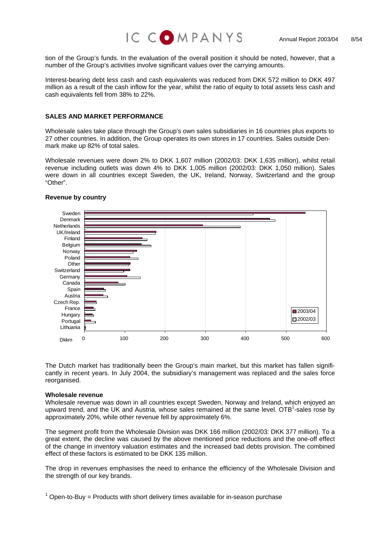

tion of the Group's funds. In the evaluation of the overall position it should be noted, however, that a number of the Group's activities involve significant values over the carrying amounts.

Interest-bearing debt less cash and cash equivalents was reduced from DKK 572 million to DKK 497 million as a result of the cash inflow for the year, whilst the ratio of equity to total assets less cash and cash equivalents fell from 38% to 22%.

#### **ALES AND MARKET PERFORMANCE S**

Wholesale sales take place through the Group's own sales subsidiaries in 16 countries plus exports to 27 other countries. In addition, the Group operates its own stores in 17 countries. Sales outside Denmark make up 82% of total sales.

Wholesale revenues were down 2% to DKK 1,607 million (2002/03: DKK 1,635 million), whilst retail revenue including outlets was down 4% to DKK 1,005 million (2002/03: DKK 1,050 million). Sales were down in all countries except Sweden, the UK, Ireland, Norway, Switzerland and the group "Other".



#### **Revenue by country**

The Dutch market has traditionally been the Group's main market, but this market has fallen significantly in recent years. In July 2004, the subsidiary's management was replaced and the sales force reorganised.

#### **Wholesale** revenue

Wholesale revenue was down in all countries except Sweden, Norway and Ireland, which enjoyed an upward trend, and the UK and Austria, whose sales remained at the same level. OTB<sup>1</sup>-sales rose by approximately 20%, while other revenue fell by approximately 6%.

The segment profit from the Wholesale Division was DKK 166 million (2002/03: DKK 377 million). To a great extent, the decline was caused by the above mentioned price reductions and the one-off effect of the change in inventory valuation estimates and the increased bad debts provision. The combined effect of these factors is estimated to be DKK 135 million.

The drop in revenues emphasises the need to enhance the efficiency of the Wholesale Division and the strength of our key brands.

<span id="page-7-0"></span> $1$  Open-to-Buy = Products with short delivery times available for in-season purchase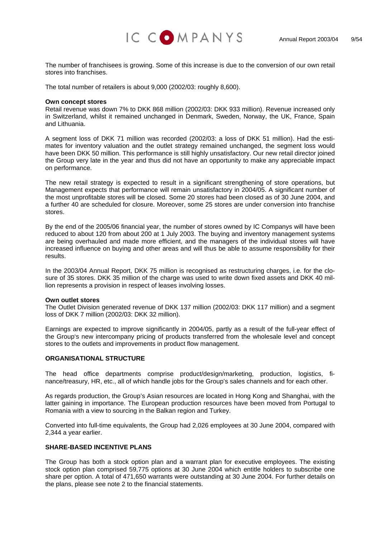

The number of franchisees is growing. Some of this increase is due to the conversion of our own retail stores into franchises.

The total number of retailers is about 9,000 (2002/03: roughly 8,600).

#### **Own concept stores**

Retail revenue was down 7% to DKK 868 million (2002/03: DKK 933 million). Revenue increased only in Switzerland, whilst it remained unchanged in Denmark, Sweden, Norway, the UK, France, Spain and Lithuania.

A segment loss of DKK 71 million was recorded (2002/03: a loss of DKK 51 million). Had the estimates for inventory valuation and the outlet strategy remained unchanged, the segment loss would have been DKK 50 million. This performance is still highly unsatisfactory. Our new retail director joined the Group very late in the year and thus did not have an opportunity to make any appreciable impact on performance.

The new retail strategy is expected to result in a significant strengthening of store operations, but Management expects that performance will remain unsatisfactory in 2004/05. A significant number of the most unprofitable stores will be closed. Some 20 stores had been closed as of 30 June 2004, and a further 40 are scheduled for closure. Moreover, some 25 stores are under conversion into franchise stores.

By the end of the 2005/06 financial year, the number of stores owned by IC Companys will have been reduced to about 120 from about 200 at 1 July 2003. The buying and inventory management systems are being overhauled and made more efficient, and the managers of the individual stores will have increased influence on buying and other areas and will thus be able to assume responsibility for their results.

In the 2003/04 Annual Report, DKK 75 million is recognised as restructuring charges, i.e. for the closure of 35 stores. DKK 35 million of the charge was used to write down fixed assets and DKK 40 million represents a provision in respect of leases involving losses.

#### **Own outlet stores**

The Outlet Division generated revenue of DKK 137 million (2002/03: DKK 117 million) and a segment loss of DKK 7 million (2002/03: DKK 32 million).

Earnings are expected to improve significantly in 2004/05, partly as a result of the full-year effect of the Group's new intercompany pricing of products transferred from the wholesale level and concept stores to the outlets and improvements in product flow management.

#### **ORGANISATIONAL STRUCTURE**

The head office departments comprise product/design/marketing, production, logistics, finance/treasury, HR, etc., all of which handle jobs for the Group's sales channels and for each other.

As regards production, the Group's Asian resources are located in Hong Kong and Shanghai, with the latter gaining in importance. The European production resources have been moved from Portugal to Romania with a view to sourcing in the Balkan region and Turkey.

Converted into full-time equivalents, the Group had 2,026 employees at 30 June 2004, compared with ,344 a year earlier. 2

#### **ENTIVE PLANS SHARE-BASED INC**

The Group has both a stock option plan and a warrant plan for executive employees. The existing stock option plan comprised 59,775 options at 30 June 2004 which entitle holders to subscribe one share per option. A total of 471,650 warrants were outstanding at 30 June 2004. For further details on the plans, please see note 2 to the financial statements.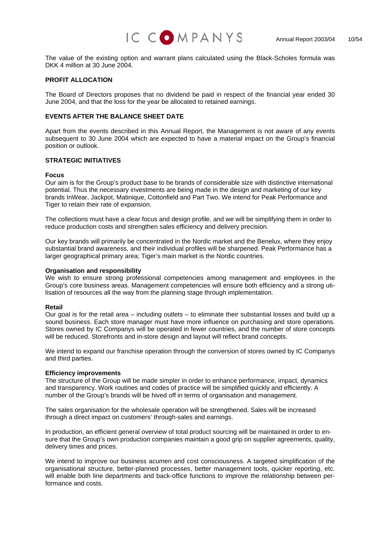

The value of the existing option and warrant plans calculated using the Black-Scholes formula was DKK 4 million at 30 June 2004.

#### **PROFIT ALLOCATION**

The Board of Directors proposes that no dividend be paid in respect of the financial year ended 30 June 2004, and that the loss for the year be allocated to retained earnings.

#### **EVENTS AFTER THE BALANCE SHEET DATE**

Apart from the events described in this Annual Report, the Management is not aware of any events subsequent to 30 June 2004 which are expected to have a material impact on the Group's financial position or outlook.

#### **STRATEGIC INITIATIVES**

#### **ocus F**

Our aim is for the Group's product base to be brands of considerable size with distinctive international potential. Thus the necessary investments are being made in the design and marketing of our key brands InWear, Jackpot, Matinique, Cottonfield and Part Two. We intend for Peak Performance and Tiger to retain their rate of expansion.

reduce production costs and strengthen sales efficiency and delivery precision. The collections must have a clear focus and design profile, and we will be simplifying them in order to

substantial brand awareness, and their individual profiles will be sharpened. Peak Performance has a larger geographical primary area; Tiger's main market is the Nordic countries. Our key brands will primarily be concentrated in the Nordic market and the Benelux, where they enjoy

#### **Organisation and responsibility**

We wish to ensure strong professional competencies among management and employees in the Group's core business areas. Management competencies will ensure both efficiency and a strong utilisation of resources all the way from the planning stage through implementation.

#### **Retail**

Our goal is for the retail area – including outlets – to eliminate their substantial losses and build up a sound business. Each store manager must have more influence on purchasing and store operations. Stores owned by IC Companys will be operated in fewer countries, and the number of store concepts will be reduced. Storefronts and in-store design and layout will reflect brand concepts.

We intend to expand our franchise operation through the conversion of stores owned by IC Companys and third parties.

#### **Efficiency improvements**

The structure of the Group will be made simpler in order to enhance performance, impact, dynamics and transparency. Work routines and codes of practice will be simplified quickly and efficiently. A number of the Group's brands will be hived off in terms of organisation and management.

The sales organisation for the wholesale operation will be strengthened. Sales will be increased through a direct impact on customers' through-sales and earnings.

In production, an efficient general overview of total product sourcing will be maintained in order to ensure that the Group's own production companies maintain a good grip on supplier agreements, quality, delivery times and prices.

organisational structure, better-planned processes, better management tools, quicker reporting, etc. will enable both line departments and back-office functions to improve the relationship between per-We intend to improve our business acumen and cost consciousness. A targeted simplification of the formance and costs.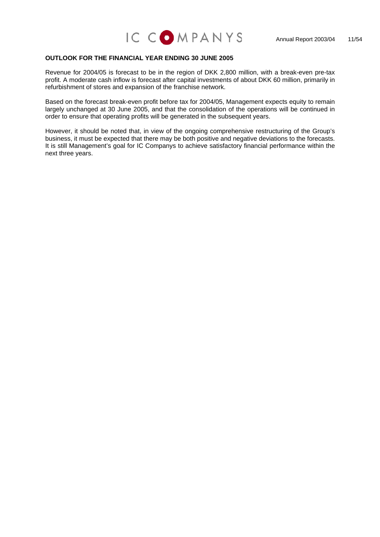#### **OUTLOOK FOR THE FINANCIAL YEAR ENDING 30 JUNE 2005**

Revenue for 2004/05 is forecast to be in the region of DKK 2,800 million, with a break-even pre-tax profit. A moderate cash inflow is forecast after capital investments of about DKK 60 million, primarily in refurbishment of stores and expansion of the franchise network.

largely unchanged at 30 June 2005, and that the consolidation of the operations will be continued in order to ensure that operating profits will be generated in the subsequent years. Based on the forecast break-even profit before tax for 2004/05, Management expects equity to remain

business, it must be expected that there may be both positive and negative deviations to the forecasts. It is still Management's goal for IC Companys to achieve satisfactory financial performance within the However, it should be noted that, in view of the ongoing comprehensive restructuring of the Group's next three years.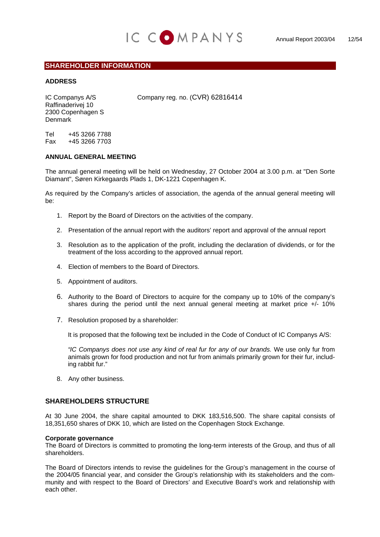

## **SHAREHOLDER INFORMATION**

#### **ADDRESS**

Raffinaderivej 10 2300 Copenhagen S Denmark

IC Companys A/S Company reg. no. (CVR) 62816414

Tel +45 3266 7788 Fax +45 3266 7703

#### **ANNUAL GENERAL MEETING**

The annual general meeting will be held on Wednesday, 27 October 2004 at 3.00 p.m. at "Den Sorte Diamant", Søren Kirkegaards Plads 1, DK-1221 Copenhagen K.

As required by the Company's articles of association, the agenda of the annual general meeting will be:

- 1. Report by the Board of Directors on the activities of the company.
- 2. Presentation of the annual report with the auditors' report and approval of the annual report
- 3. Resolution as to the application of the profit, including the declaration of dividends, or for the treatment of the loss according to the approved annual report.
- 4. Election of members to the Board of Directors.
- 5. Appointment of auditors.
- 6. Authority to the Board of Directors to acquire for the company up to 10% of the company's shares during the period until the next annual general meeting at market price  $+/-10\%$
- 7. Resolution proposed by a shareholder:

It is proposed that the following text be included in the Code of Conduct of IC Companys A/S:

*"IC Companys does not use any kind of real fur for any of our brands.* We use only fur from animals grown for food production and not fur from animals primarily grown for their fur, including rabbit fur."

8. Any other business.

#### **SHAREHOLDERS STRUCTURE**

At 30 June 2004, the share capital amounted to DKK 183,516,500. The share capital consists of 18,351,650 shares of DKK 10, which are listed on the Copenhagen Stock Exchange.

#### **Corporate governance**

The Board of Directors is committed to promoting the long-term interests of the Group, and thus of all shareholders.

The Board of Directors intends to revise the guidelines for the Group's management in the course of the 2004/05 financial year, and consider the Group's relationship with its stakeholders and the community and with respect to the Board of Directors' and Executive Board's work and relationship with each other.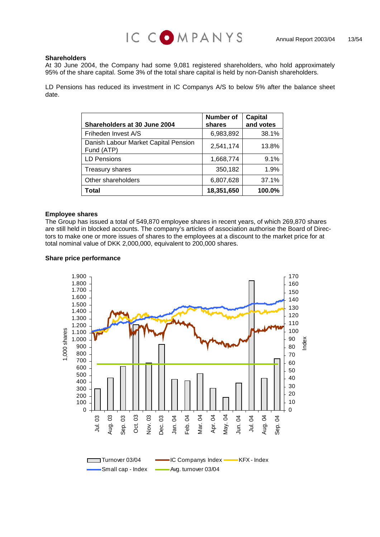

#### **Shareholders**

At 30 June 2004, the Company had some 9,081 registered shareholders, who hold approximately 95% of the share capital. Some 3% of the total share capital is held by non-Danish shareholders.

LD Pensions has reduced its investment in IC Companys A/S to below 5% after the balance sheet date.

| <b>Shareholders at 30 June 2004</b>                | Number of<br>shares | <b>Capital</b><br>and votes |
|----------------------------------------------------|---------------------|-----------------------------|
| Friheden Invest A/S                                | 6,983,892           | 38.1%                       |
| Danish Labour Market Capital Pension<br>Fund (ATP) | 2,541,174           | 13.8%                       |
| <b>LD Pensions</b>                                 | 1,668,774           | 9.1%                        |
| <b>Treasury shares</b>                             | 350,182             | 1.9%                        |
| Other shareholders                                 | 6,807,628           | 37.1%                       |
| Total                                              | 18,351,650          | 100.0%                      |

#### **Employee shares**

The Group has issued a total of 549,870 employee shares in recent years, of which 269,870 shares are still held in blocked accounts. The company's articles of association authorise the Board of Directors to make one or more issues of shares to the employees at a discount to the market price for at total nominal value of DKK 2,000,000, equivalent to 200,000 shares.

#### **Share price performance**

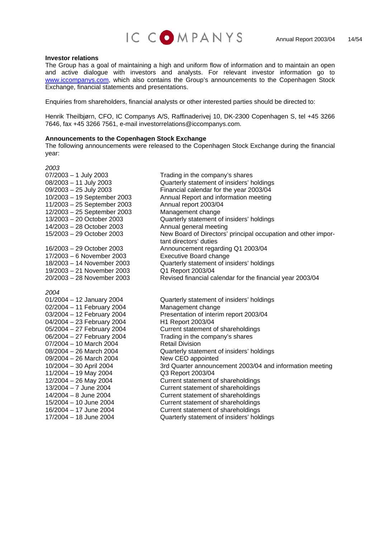

#### **Investor relations**

The Group has a goal of maintaining a high and uniform flow of information and to maintain an open and active dialogue with investors and analysts. For relevant investor information go to [www.iccompanys.com](http://www.iccompanys.com/), which also contains the Group's announcements to the Copenhagen Stock Exchange, financial statements and presentations.

Enquiries from shareholders, financial analysts or other interested parties should be directed to:

Henrik Theilbjørn, CFO, IC Companys A/S, Raffinaderivej 10, DK-2300 Copenhagen S, tel +45 3266 7646, fax +45 3266 7561, e-mail investorrelations@iccompanys.com.

#### **Announcements to the Copenhagen Stock Exchange**

The following announcements were released to the Copenhagen Stock Exchange during the financial year:

*2003*  07/2003 – 1 July 2003 Trading in the company's shares 11/2003 – 25 September 2003 Annual report 2003/04 12/2003 – 25 September 2003 Management change 14/2003 – 28 October 2003 Annual general meeting 17/2003 – 6 November 2003 Executive Board change 19/2003 – 21 November 2003 Q1 Report 2003/04 20/2003 – 28 November 2003 Revised financial calendar for the financial year 2003/04 *2004* 01/2004 – 12 January 2004 Quarterly statement of insiders' holdings 02/2004 – 11 February 2004 Management change 04/2004 - 23 February 2004 H1 Report 2003/04 07/2004 – 10 March 2004 Retail Division 09/2004 – 26 March 2004 **New CEO** appointed 11/2004 – 19 May 2004 Q3 Report 2003/04

08/2003 – 11 July 2003 Quarterly statement of insiders' holdings 09/2003 – 25 July 2003 Financial calendar for the year 2003/04 10/2003 – 19 September 2003 Annual Report and information meeting Quarterly statement of insiders' holdings 15/2003 – 29 October 2003 New Board of Directors' principal occupation and other important directors' duties 16/2003 – 29 October 2003 Announcement regarding Q1 2003/04 18/2003 – 14 November 2003 Quarterly statement of insiders' holdings

03/2004 – 12 February 2004 Presentation of interim report 2003/04 05/2004 – 27 February 2004 Current statement of shareholdings 06/2004 – 27 February 2004 Trading in the company's shares 08/2004 – 26 March 2004 Quarterly statement of insiders' holdings 10/2004 – 30 April 2004 3rd Quarter announcement 2003/04 and information meeting 12/2004 – 26 May 2004 Current statement of shareholdings 13/2004 – 7 June 2004 Current statement of shareholdings 14/2004 – 8 June 2004 Current statement of shareholdings 15/2004 – 10 June 2004 Current statement of shareholdings 16/2004 – 17 June 2004 Current statement of shareholdings 17/2004 – 18 June 2004 Quarterly statement of insiders' holdings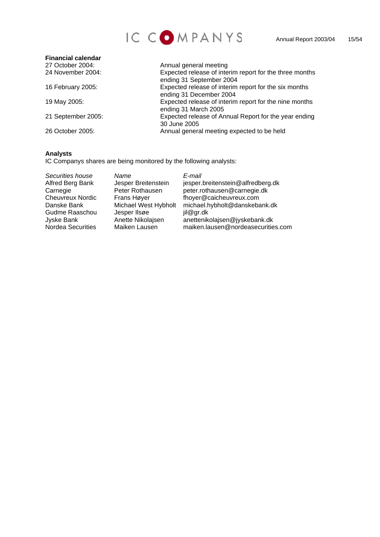

| <b>Financial calendar</b> |                                                                                     |
|---------------------------|-------------------------------------------------------------------------------------|
| 27 October 2004:          | Annual general meeting                                                              |
| 24 November 2004:         | Expected release of interim report for the three months<br>ending 31 September 2004 |
| 16 February 2005:         | Expected release of interim report for the six months<br>ending 31 December 2004    |
| 19 May 2005:              | Expected release of interim report for the nine months<br>ending 31 March 2005      |
| 21 September 2005:        | Expected release of Annual Report for the year ending<br>30 June 2005               |
| 26 October 2005:          | Annual general meeting expected to be held                                          |

## **Analysts**

IC Companys shares are being monitored by the following analysts:

| Securities house        | Name                 | E-mail                             |
|-------------------------|----------------------|------------------------------------|
| Alfred Berg Bank        | Jesper Breitenstein  | jesper.breitenstein@alfredberg.dk  |
| Carnegie                | Peter Rothausen      | peter.rothausen@carnegie.dk        |
| <b>Cheuvreux Nordic</b> | Frans Høyer          | fhoyer@caicheuvreux.com            |
| Danske Bank             | Michael West Hybholt | michael.hybholt@danskebank.dk      |
| Gudme Raaschou          | Jesper IIsøe         | jil@gr.dk                          |
| Jyske Bank              | Anette Nikolajsen    | anettenikolajsen@jyskebank.dk      |
| Nordea Securities       | Maiken Lausen        | maiken.lausen@nordeasecurities.com |
|                         |                      |                                    |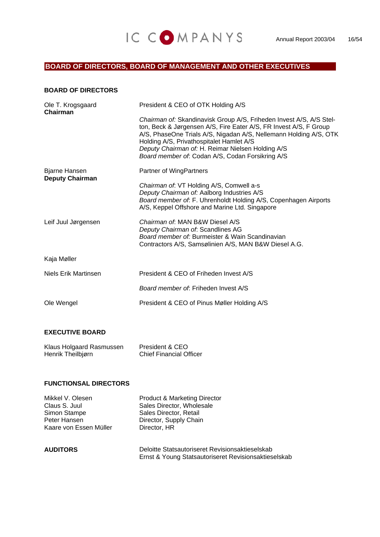## IC COMPANYS Annual Report 2003/04 16/54

## **BOARD OF DIRECTORS, BOARD OF MANAGEMENT AND OTHER EXECUTIVES**

#### **BOARD OF DIRECTORS**

| Ole T. Krogsgaard<br>Chairman           | President & CEO of OTK Holding A/S                                                                                                                                                                                                                                                                                                                                 |
|-----------------------------------------|--------------------------------------------------------------------------------------------------------------------------------------------------------------------------------------------------------------------------------------------------------------------------------------------------------------------------------------------------------------------|
|                                         | Chairman of: Skandinavisk Group A/S, Friheden Invest A/S, A/S Stel-<br>ton, Beck & Jørgensen A/S, Fire Eater A/S, FR Invest A/S, F Group<br>A/S, PhaseOne Trials A/S, Nigadan A/S, Nellemann Holding A/S, OTK<br>Holding A/S, Privathospitalet Hamlet A/S<br>Deputy Chairman of: H. Reimar Nielsen Holding A/S<br>Board member of: Codan A/S, Codan Forsikring A/S |
| Bjarne Hansen<br><b>Deputy Chairman</b> | Partner of WingPartners                                                                                                                                                                                                                                                                                                                                            |
|                                         | Chairman of: VT Holding A/S, Comwell a-s<br>Deputy Chairman of: Aalborg Industries A/S<br>Board member of. F. Uhrenholdt Holding A/S, Copenhagen Airports<br>A/S, Keppel Offshore and Marine Ltd. Singapore                                                                                                                                                        |
| Leif Juul Jørgensen                     | Chairman of: MAN B&W Diesel A/S<br>Deputy Chairman of: Scandlines AG<br>Board member of: Burmeister & Wain Scandinavian<br>Contractors A/S, Samsølinien A/S, MAN B&W Diesel A.G.                                                                                                                                                                                   |
| Kaja Møller                             |                                                                                                                                                                                                                                                                                                                                                                    |
| Niels Erik Martinsen                    | President & CEO of Friheden Invest A/S                                                                                                                                                                                                                                                                                                                             |
|                                         | Board member of: Friheden Invest A/S                                                                                                                                                                                                                                                                                                                               |
| Ole Wengel                              | President & CEO of Pinus Møller Holding A/S                                                                                                                                                                                                                                                                                                                        |
|                                         |                                                                                                                                                                                                                                                                                                                                                                    |

## **EXECUTIVE BOARD**

| Klaus Holgaard Rasmussen | President & CEO                |
|--------------------------|--------------------------------|
| Henrik Theilbjørn        | <b>Chief Financial Officer</b> |

### **FUNCTIONSAL DIRECTORS**

Peter Hansen Director, Supply Chain Kaare von Essen Müller Director, HR

Mikkel V. Olesen Product & Marketing Director Claus S. Juul Sales Director, Wholesale<br>Simon Stampe Sales Director, Retail Sales Director, Retail

**AUDITORS** Deloitte Statsautoriseret Revisionsaktieselskab Ernst & Young Statsautoriseret Revisionsaktieselskab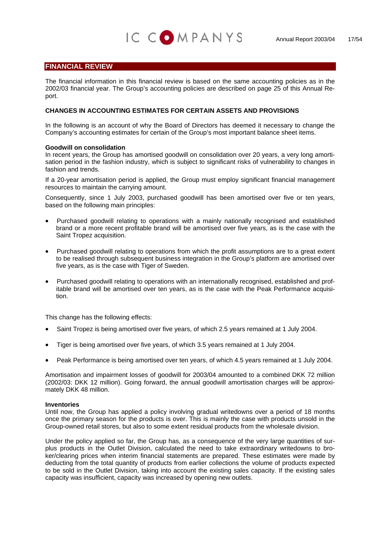## **FINANCIAL REVIEW**

The financial information in this financial review is based on the same accounting policies as in the 2002/03 financial year. The Group's accounting policies are described on page 25 of this Annual Report.

IC COMPANYS

#### **CHANGES IN ACCOUNTING ESTIMATES FOR CERTAIN ASSETS AND PROVISIONS**

In the following is an account of why the Board of Directors has deemed it necessary to change the Company's accounting estimates for certain of the Group's most important balance sheet items.

#### **Goodwill on consolidation**

In recent years, the Group has amortised goodwill on consolidation over 20 years, a very long amortisation period in the fashion industry, which is subject to significant risks of vulnerability to changes in fashion and trends.

If a 20-year amortisation period is applied, the Group must employ significant financial management resources to maintain the carrying amount.

Consequently, since 1 July 2003, purchased goodwill has been amortised over five or ten years, based on the following main principles:

- Purchased goodwill relating to operations with a mainly nationally recognised and established brand or a more recent profitable brand will be amortised over five years, as is the case with the Saint Tropez acquisition.
- Purchased goodwill relating to operations from which the profit assumptions are to a great extent to be realised through subsequent business integration in the Group's platform are amortised over five years, as is the case with Tiger of Sweden.
- Purchased goodwill relating to operations with an internationally recognised, established and profitable brand will be amortised over ten years, as is the case with the Peak Performance acquisition.

This change has the following effects:

- Saint Tropez is being amortised over five years, of which 2.5 years remained at 1 July 2004.
- Tiger is being amortised over five years, of which 3.5 years remained at 1 July 2004.
- Peak Performance is being amortised over ten years, of which 4.5 years remained at 1 July 2004.

Amortisation and impairment losses of goodwill for 2003/04 amounted to a combined DKK 72 million (2002/03: DKK 12 million). Going forward, the annual goodwill amortisation charges will be approximately DKK 48 million.

#### **Inventories**

Until now, the Group has applied a policy involving gradual writedowns over a period of 18 months once the primary season for the products is over. This is mainly the case with products unsold in the Group-owned retail stores, but also to some extent residual products from the wholesale division.

Under the policy applied so far, the Group has, as a consequence of the very large quantities of surplus products in the Outlet Division, calculated the need to take extraordinary writedowns to broker/clearing prices when interim financial statements are prepared. These estimates were made by deducting from the total quantity of products from earlier collections the volume of products expected to be sold in the Outlet Division, taking into account the existing sales capacity. If the existing sales capacity was insufficient, capacity was increased by opening new outlets.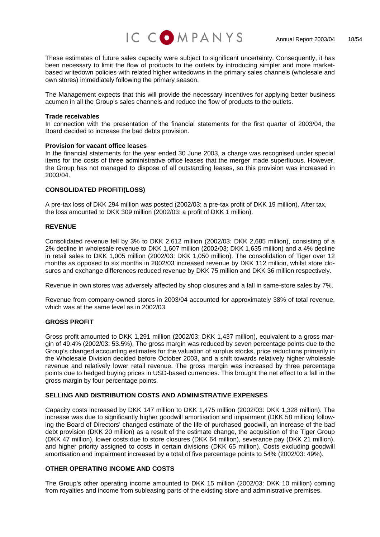

These estimates of future sales capacity were subject to significant uncertainty. Consequently, it has been necessary to limit the flow of products to the outlets by introducing simpler and more marketbased writedown policies with related higher writedowns in the primary sales channels (wholesale and own stores) immediately following the primary season.

The Management expects that this will provide the necessary incentives for applying better business acumen in all the Group's sales channels and reduce the flow of products to the outlets.

#### **Trade receivables**

In connection with the presentation of the financial statements for the first quarter of 2003/04, the Board decided to increase the bad debts provision.

#### **Provision for vacant office leases**

items for the costs of three administrative office leases that the merger made superfluous. However, the Group has not managed to dispose of all outstanding leases, so this provision was increased in In the financial statements for the year ended 30 June 2003, a charge was recognised under special 2003/04.

#### **CONSOLIDATED PROFIT/(LOSS)**

A pre-tax loss of DKK 294 million was posted (2002/03: a pre-tax profit of DKK 19 million). After tax, the loss amounted to DKK 309 million (2002/03: a profit of DKK 1 million).

#### **REVENUE**

months as opposed to six months in 2002/03 increased revenue by DKK 112 million, whilst store clo-Consolidated revenue fell by 3% to DKK 2,612 million (2002/03: DKK 2,685 million), consisting of a 2% decline in wholesale revenue to DKK 1,607 million (2002/03: DKK 1,635 million) and a 4% decline in retail sales to DKK 1,005 million (2002/03: DKK 1,050 million). The consolidation of Tiger over 12 sures and exchange differences reduced revenue by DKK 75 million and DKK 36 million respectively.

Revenue in own stores was adversely affected by shop closures and a fall in same-store sales by 7%.

Revenue from company-owned stores in 2003/04 accounted for approximately 38% of total revenue, which was at the same level as in 2002/03.

#### **GROSS PROFIT**

revenue and relatively lower retail revenue. The gross margin was increased by three percentage points due to hedged buying prices in USD-based currencies. This brought the net effect to a fall in the Gross profit amounted to DKK 1,291 million (2002/03: DKK 1,437 million), equivalent to a gross margin of 49.4% (2002/03: 53.5%). The gross margin was reduced by seven percentage points due to the Group's changed accounting estimates for the valuation of surplus stocks, price reductions primarily in the Wholesale Division decided before October 2003, and a shift towards relatively higher wholesale gross margin by four percentage points.

#### **SELLING AND DISTRIBUTION COSTS AND ADMINISTRATIVE EXPENSES**

(DKK 47 million), lower costs due to store closures (DKK 64 million), severance pay (DKK 21 million), and higher priority assigned to costs in certain divisions (DKK 65 million). Costs excluding goodwill amortisation and impairment increased by a total of five percentage points to 54% (2002/03: 49%). Capacity costs increased by DKK 147 million to DKK 1,475 million (2002/03: DKK 1,328 million). The increase was due to significantly higher goodwill amortisation and impairment (DKK 58 million) following the Board of Directors' changed estimate of the life of purchased goodwill, an increase of the bad debt provision (DKK 20 million) as a result of the estimate change, the acquisition of the Tiger Group

#### **OTHER OPERATING INCOME AND COSTS**

The Group's other operating income amounted to DKK 15 million (2002/03: DKK 10 million) coming from royalties and income from subleasing parts of the existing store and administrative premises.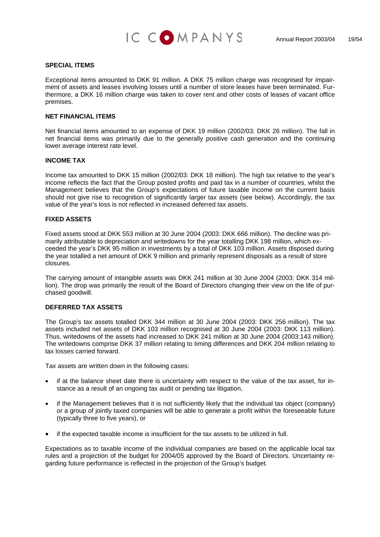

#### **SPECIAL ITEMS**

Exceptional items amounted to DKK 91 million. A DKK 75 million charge was recognised for impairment of assets and leases involving losses until a number of store leases have been terminated. Furthermore, a DKK 16 million charge was taken to cover rent and other costs of leases of vacant office premises.

#### **NET FINANCIAL ITEMS**

Net financial items amounted to an expense of DKK 19 million (2002/03: DKK 26 million). The fall in net financial items was primarily due to the generally positive cash generation and the continuing lower average interest rate level.

#### **INCOME TAX**

Management believes that the Group's expectations of future taxable income on the current basis should not give rise to recognition of significantly larger tax assets (see below). Accordingly, the tax value of the year's loss is not reflected in increased deferred tax assets. Income tax amounted to DKK 15 million (2002/03: DKK 18 million). The high tax relative to the year's income reflects the fact that the Group posted profits and paid tax in a number of countries, whilst the

#### **FIXED ASSETS**

ceeded the year's DKK 95 million in investments by a total of DKK 103 million. Assets disposed during the year totalled a net amount of DKK 9 million and primarily represent disposals as a result of store Fixed assets stood at DKK 553 million at 30 June 2004 (2003: DKK 666 million). The decline was primarily attributable to depreciation and writedowns for the year totalling DKK 198 million, which exclosures.

The carrying amount of intangible assets was DKK 241 million at 30 June 2004 (2003: DKK 314 million). The drop was primarily the result of the Board of Directors changing their view on the life of purchased goodwill.

#### **DEFERRED TAX ASSETS**

Thus, writedowns of the assets had increased to DKK 241 million at 30 June 2004 (2003:143 million). The writedowns comprise DKK 37 million relating to timing differences and DKK 204 million relating to The Group's tax assets totalled DKK 344 million at 30 June 2004 (2003: DKK 256 million). The tax assets included net assets of DKK 103 million recognised at 30 June 2004 (2003: DKK 113 million). tax losses carried forward.

Tax assets are written down in the following cases:

- if at the balance sheet date there is uncertainty with respect to the value of the tax asset, for in- • stance as a result of an ongoing tax audit or pending tax litigation,
- if the Management believes that it is not sufficiently likely that the individual tax object (company) or a group of jointly taxed companies will be able to generate a profit within the foreseeable future (typically three to five years), or
- if the expected taxable income is insufficient for the tax assets to be utilized in full.

Expectations as to taxable income of the individual companies are based on the applicable local tax rules and a projection of the budget for 2004/05 approved by the Board of Directors. Uncertainty regarding future performance is reflected in the projection of the Group's budget.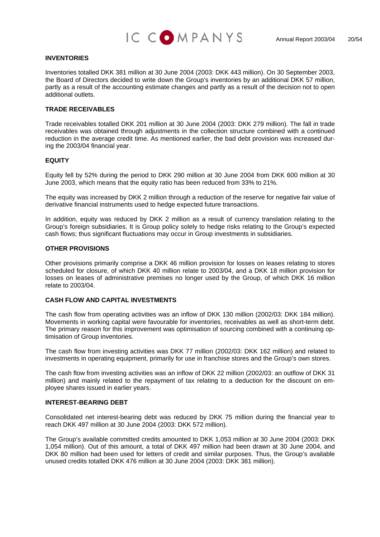

#### **INVENTORIES**

Inventories totalled DKK 381 million at 30 June 2004 (2003: DKK 443 million). On 30 September 2003, the Board of Directors decided to write down the Group's inventories by an additional DKK 57 million, partly as a result of the accounting estimate changes and partly as a result of the decision not to open additional outlets.

#### **TRADE RECEIVABLES**

Trade receivables totalled DKK 201 million at 30 June 2004 (2003: DKK 279 million). The fall in trade receivables was obtained through adjustments in the collection structure combined with a continued reduction in the average credit time. As mentioned earlier, the bad debt provision was increased during the 2003/04 financial year.

#### **EQUITY**

Equity fell by 52% during the period to DKK 290 million at 30 June 2004 from DKK 600 million at 30 June 2003, which means that the equity ratio has been reduced from 33% to 21%.

The equity was increased by DKK 2 million through a reduction of the reserve for negative fair value of derivative financial instruments used to hedge expected future transactions.

In addition, equity was reduced by DKK 2 million as a result of currency translation relating to the Group's foreign subsidiaries. It is Group policy solely to hedge risks relating to the Group's expected cash flows; thus significant fluctuations may occur in Group investments in subsidiaries.

#### **OTHER PROVISIONS**

Other provisions primarily comprise a DKK 46 million provision for losses on leases relating to stores scheduled for closure, of which DKK 40 million relate to 2003/04, and a DKK 18 million provision for losses on leases of administrative premises no longer used by the Group, of which DKK 16 million relate to 2003/04.

#### **CASH FLOW AND CAPITAL INVESTMENTS**

The cash flow from operating activities was an inflow of DKK 130 million (2002/03: DKK 184 million). Movements in working capital were favourable for inventories, receivables as well as short-term debt. The primary reason for this improvement was optimisation of sourcing combined with a continuing optimisation of Group inventories.

The cash flow from investing activities was DKK 77 million (2002/03: DKK 162 million) and related to investments in operating equipment, primarily for use in franchise stores and the Group's own stores.

The cash flow from investing activities was an inflow of DKK 22 million (2002/03: an outflow of DKK 31 million) and mainly related to the repayment of tax relating to a deduction for the discount on employee shares issued in earlier years.

#### **INTEREST-BEARING DEBT**

Consolidated net interest-bearing debt was reduced by DKK 75 million during the financial year to reach DKK 497 million at 30 June 2004 (2003: DKK 572 million).

The Group's available committed credits amounted to DKK 1,053 million at 30 June 2004 (2003: DKK 1,054 million). Out of this amount, a total of DKK 497 million had been drawn at 30 June 2004, and DKK 80 million had been used for letters of credit and similar purposes. Thus, the Group's available unused credits totalled DKK 476 million at 30 June 2004 (2003: DKK 381 million).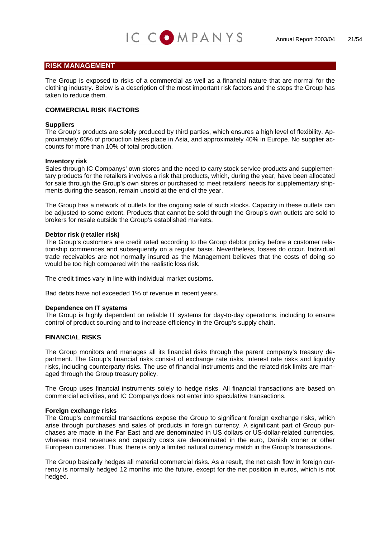### **RISK MANAGEMENT**

The Group is exposed to risks of a commercial as well as a financial nature that are normal for the clothing industry. Below is a description of the most important risk factors and the steps the Group has taken to reduce them.

IC COMPANYS

#### **COMMERCIAL RISK FACTORS**

#### **Suppliers**

The Group's products are solely produced by third parties, which ensures a high level of flexibility. Approximately 60% of production takes place in Asia, and approximately 40% in Europe. No supplier accounts for more than 10% of total production.

#### **Inventory risk**

Sales through IC Companys' own stores and the need to carry stock service products and supplementary products for the retailers involves a risk that products, which, during the year, have been allocated for sale through the Group's own stores or purchased to meet retailers' needs for supplementary shipments during the season, remain unsold at the end of the year.

The Group has a network of outlets for the ongoing sale of such stocks. Capacity in these outlets can be adjusted to some extent. Products that cannot be sold through the Group's own outlets are sold to brokers for resale outside the Group's established markets.

#### **Debtor risk (retailer risk)**

The Group's customers are credit rated according to the Group debtor policy before a customer relationship commences and subsequently on a regular basis. Nevertheless, losses do occur. Individual trade receivables are not normally insured as the Management believes that the costs of doing so would be too high compared with the realistic loss risk.

The credit times vary in line with individual market customs.

Bad debts have not exceeded 1% of revenue in recent years.

#### **Dependence on IT systems**

The Group is highly dependent on reliable IT systems for day-to-day operations, including to ensure control of product sourcing and to increase efficiency in the Group's supply chain.

#### **FINANCIAL RISKS**

The Group monitors and manages all its financial risks through the parent company's treasury department. The Group's financial risks consist of exchange rate risks, interest rate risks and liquidity risks, including counterparty risks. The use of financial instruments and the related risk limits are managed through the Group treasury policy.

The Group uses financial instruments solely to hedge risks. All financial transactions are based on commercial activities, and IC Companys does not enter into speculative transactions.

#### **Foreign exchange risks**

The Group's commercial transactions expose the Group to significant foreign exchange risks, which arise through purchases and sales of products in foreign currency. A significant part of Group purchases are made in the Far East and are denominated in US dollars or US-dollar-related currencies, whereas most revenues and capacity costs are denominated in the euro, Danish kroner or other European currencies. Thus, there is only a limited natural currency match in the Group's transactions.

The Group basically hedges all material commercial risks. As a result, the net cash flow in foreign currency is normally hedged 12 months into the future, except for the net position in euros, which is not hedged.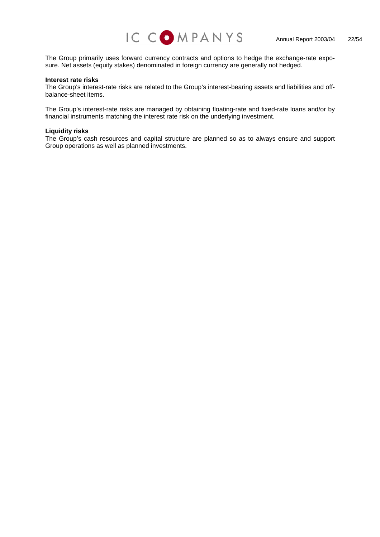

The Group primarily uses forward currency contracts and options to hedge the exchange-rate exposure. Net assets (equity stakes) denominated in foreign currency are generally not hedged.

#### **Interest rate risks**

The Group's interest-rate risks are related to the Group's interest-bearing assets and liabilities and offbalance-sheet items.

The Group's interest-rate risks are managed by obtaining floating-rate and fixed-rate loans and/or by financial instruments matching the interest rate risk on the underlying investment.

#### **Liquidity risks**

The Group's cash resources and capital structure are planned so as to always ensure and support Group operations as well as planned investments.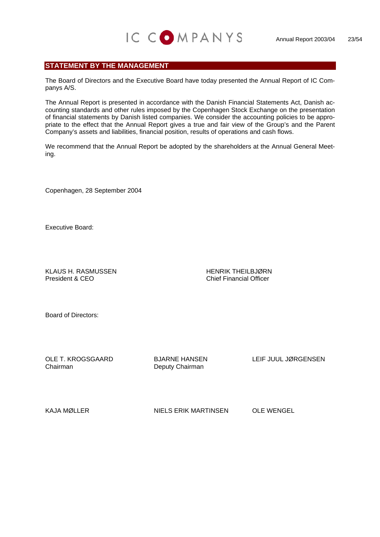## **STATEMENT BY THE MANAGEMENT**

The Board of Directors and the Executive Board have today presented the Annual Report of IC Companys A/S.

IC COMPANYS

The Annual Report is presented in accordance with the Danish Financial Statements Act, Danish accounting standards and other rules imposed by the Copenhagen Stock Exchange on the presentation of financial statements by Danish listed companies. We consider the accounting policies to be appropriate to the effect that the Annual Report gives a true and fair view of the Group's and the Parent Company's assets and liabilities, financial position, results of operations and cash flows.

We recommend that the Annual Report be adopted by the shareholders at the Annual General Meeting.

Copenhagen, 28 September 2004

Executive Board:

KLAUS H. RASMUSSEN HENRIK THEILBJØRN<br>President & CEO

**Chief Financial Officer** 

Board of Directors:

Chairman Deputy Chairman

OLE T. KROGSGAARD BJARNE HANSEN LEIF JUUL JØRGENSEN

KAJA MØLLER NIELS ERIK MARTINSEN OLE WENGEL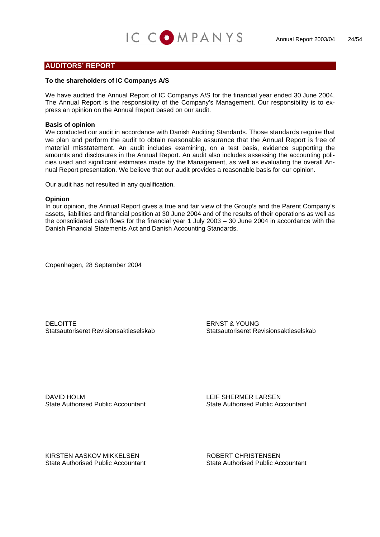### **AUDITORS' REPORT**

#### **To the shareholders of IC Companys A/S**

We have audited the Annual Report of IC Companys A/S for the financial year ended 30 June 2004. The Annual Report is the responsibility of the Company's Management. Our responsibility is to express an opinion on the Annual Report based on our audit.

#### **Basis of opinion**

We conducted our audit in accordance with Danish Auditing Standards. Those standards require that we plan and perform the audit to obtain reasonable assurance that the Annual Report is free of material misstatement. An audit includes examining, on a test basis, evidence supporting the amounts and disclosures in the Annual Report. An audit also includes assessing the accounting policies used and significant estimates made by the Management, as well as evaluating the overall Annual Report presentation. We believe that our audit provides a reasonable basis for our opinion.

Our audit has not resulted in any qualification.

#### **Opinion**

In our opinion, the Annual Report gives a true and fair view of the Group's and the Parent Company's assets, liabilities and financial position at 30 June 2004 and of the results of their operations as well as the consolidated cash flows for the financial year 1 July 2003 – 30 June 2004 in accordance with the Danish Financial Statements Act and Danish Accounting Standards.

Copenhagen, 28 September 2004

DELOITTE ERNST & YOUNG Statsautoriseret Revisionsaktieselskab Statsautoriseret Revisionsaktieselskab

DAVID HOLM LEIF SHERMER LARSEN State Authorised Public Accountant State Authorised Public Accountant

KIRSTEN AASKOV MIKKELSEN KOBERT CHRISTENSEN State Authorised Public Accountant State Authorised Public Accountant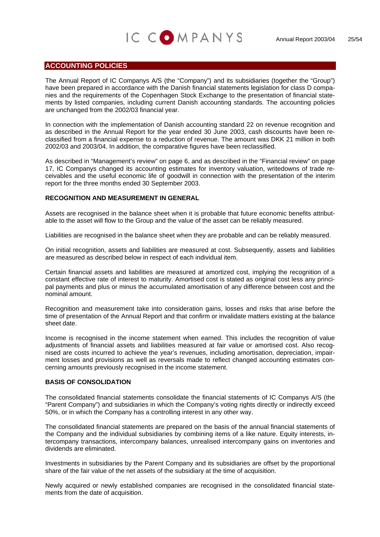## IC COMPANYS

## **ACCOUNTING POLICIES**

The Annual Report of IC Companys A/S (the "Company") and its subsidiaries (together the "Group") have been prepared in accordance with the Danish financial statements legislation for class D companies and the requirements of the Copenhagen Stock Exchange to the presentation of financial statements by listed companies, including current Danish accounting standards. The accounting policies are unchanged from the 2002/03 financial year.

In connection with the implementation of Danish accounting standard 22 on revenue recognition and as described in the Annual Report for the year ended 30 June 2003, cash discounts have been reclassified from a financial expense to a reduction of revenue. The amount was DKK 21 million in both 2002/03 and 2003/04. In addition, the comparative figures have been reclassified.

As described in "Management's review" on page 6, and as described in the "Financial review" on page 17, IC Companys changed its accounting estimates for inventory valuation, writedowns of trade receivables and the useful economic life of goodwill in connection with the presentation of the interim report for the three months ended 30 September 2003.

#### **RECOGNITION AND MEASUREMENT IN GENERAL**

Assets are recognised in the balance sheet when it is probable that future economic benefits attributable to the asset will flow to the Group and the value of the asset can be reliably measured.

Liabilities are recognised in the balance sheet when they are probable and can be reliably measured.

On initial recognition, assets and liabilities are measured at cost. Subsequently, assets and liabilities are measured as described below in respect of each individual item.

Certain financial assets and liabilities are measured at amortized cost, implying the recognition of a constant effective rate of interest to maturity. Amortised cost is stated as original cost less any principal payments and plus or minus the accumulated amortisation of any difference between cost and the nominal amount.

Recognition and measurement take into consideration gains, losses and risks that arise before the time of presentation of the Annual Report and that confirm or invalidate matters existing at the balance sheet date.

Income is recognised in the income statement when earned. This includes the recognition of value adjustments of financial assets and liabilities measured at fair value or amortised cost. Also recognised are costs incurred to achieve the year's revenues, including amortisation, depreciation, impairment losses and provisions as well as reversals made to reflect changed accounting estimates concerning amounts previously recognised in the income statement.

### **BASIS OF CONSOLIDATION**

The consolidated financial statements consolidate the financial statements of IC Companys A/S (the "Parent Company") and subsidiaries in which the Company's voting rights directly or indirectly exceed 50%, or in which the Company has a controlling interest in any other way.

The consolidated financial statements are prepared on the basis of the annual financial statements of the Company and the individual subsidiaries by combining items of a like nature. Equity interests, intercompany transactions, intercompany balances, unrealised intercompany gains on inventories and dividends are eliminated.

Investments in subsidiaries by the Parent Company and its subsidiaries are offset by the proportional share of the fair value of the net assets of the subsidiary at the time of acquisition.

Newly acquired or newly established companies are recognised in the consolidated financial statements from the date of acquisition.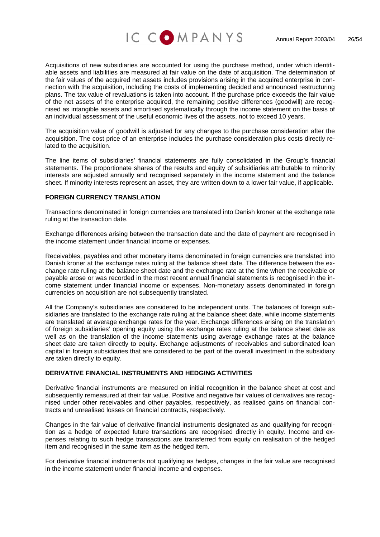



Acquisitions of new subsidiaries are accounted for using the purchase method, under which identifiable assets and liabilities are measured at fair value on the date of acquisition. The determination of the fair values of the acquired net assets includes provisions arising in the acquired enterprise in connection with the acquisition, including the costs of implementing decided and announced restructuring plans. The tax value of revaluations is taken into account. If the purchase price exceeds the fair value of the net assets of the enterprise acquired, the remaining positive differences (goodwill) are recognised as intangible assets and amortised systematically through the income statement on the basis of an individual assessment of the useful economic lives of the assets, not to exceed 10 years.

The acquisition value of goodwill is adjusted for any changes to the purchase consideration after the acquisition. The cost price of an enterprise includes the purchase consideration plus costs directly related to the acquisition.

The line items of subsidiaries' financial statements are fully consolidated in the Group's financial statements. The proportionate shares of the results and equity of subsidiaries attributable to minority interests are adjusted annually and recognised separately in the income statement and the balance sheet. If minority interests represent an asset, they are written down to a lower fair value, if applicable.

#### **FOREIGN CURRENCY TRANSLATION**

Transactions denominated in foreign currencies are translated into Danish kroner at the exchange rate ruling at the transaction date.

Exchange differences arising between the transaction date and the date of payment are recognised in the income statement under financial income or expenses.

Receivables, payables and other monetary items denominated in foreign currencies are translated into Danish kroner at the exchange rates ruling at the balance sheet date. The difference between the exchange rate ruling at the balance sheet date and the exchange rate at the time when the receivable or payable arose or was recorded in the most recent annual financial statements is recognised in the income statement under financial income or expenses. Non-monetary assets denominated in foreign currencies on acquisition are not subsequently translated.

All the Company's subsidiaries are considered to be independent units. The balances of foreign subsidiaries are translated to the exchange rate ruling at the balance sheet date, while income statements are translated at average exchange rates for the year. Exchange differences arising on the translation of foreign subsidiaries' opening equity using the exchange rates ruling at the balance sheet date as well as on the translation of the income statements using average exchange rates at the balance sheet date are taken directly to equity. Exchange adjustments of receivables and subordinated loan capital in foreign subsidiaries that are considered to be part of the overall investment in the subsidiary are taken directly to equity.

#### **DERIVATIVE FINANCIAL INSTRUMENTS AND HEDGING ACTIVITIES**

Derivative financial instruments are measured on initial recognition in the balance sheet at cost and subsequently remeasured at their fair value. Positive and negative fair values of derivatives are recognised under other receivables and other payables, respectively, as realised gains on financial contracts and unrealised losses on financial contracts, respectively.

Changes in the fair value of derivative financial instruments designated as and qualifying for recognition as a hedge of expected future transactions are recognised directly in equity. Income and expenses relating to such hedge transactions are transferred from equity on realisation of the hedged item and recognised in the same item as the hedged item.

For derivative financial instruments not qualifying as hedges, changes in the fair value are recognised in the income statement under financial income and expenses.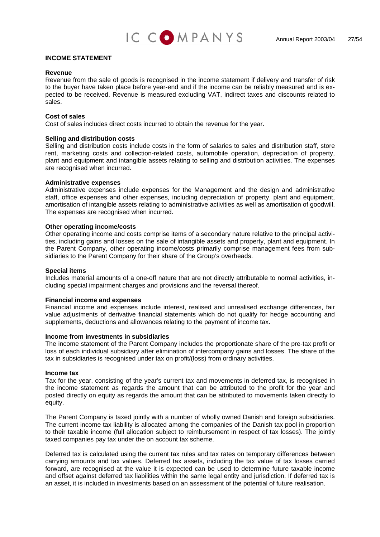

#### **INCOME STATEMENT**

#### **Revenue**

Revenue from the sale of goods is recognised in the income statement if delivery and transfer of risk to the buyer have taken place before year-end and if the income can be reliably measured and is expected to be received. Revenue is measured excluding VAT, indirect taxes and discounts related to sales.

#### **Cost of sales**

Cost of sales includes direct costs incurred to obtain the revenue for the year.

#### **Selling and distribution costs**

Selling and distribution costs include costs in the form of salaries to sales and distribution staff, store rent, marketing costs and collection-related costs, automobile operation, depreciation of property, plant and equipment and intangible assets relating to selling and distribution activities. The expenses are recognised when incurred.

#### **Administrative expenses**

Administrative expenses include expenses for the Management and the design and administrative staff, office expenses and other expenses, including depreciation of property, plant and equipment, amortisation of intangible assets relating to administrative activities as well as amortisation of goodwill. The expenses are recognised when incurred.

#### **Other operating income/costs**

Other operating income and costs comprise items of a secondary nature relative to the principal activities, including gains and losses on the sale of intangible assets and property, plant and equipment. In the Parent Company, other operating income/costs primarily comprise management fees from subsidiaries to the Parent Company for their share of the Group's overheads.

#### **Special items**

Includes material amounts of a one-off nature that are not directly attributable to normal activities, including special impairment charges and provisions and the reversal thereof.

#### **Financial income and expenses**

Financial income and expenses include interest, realised and unrealised exchange differences, fair value adjustments of derivative financial statements which do not qualify for hedge accounting and supplements, deductions and allowances relating to the payment of income tax.

#### **Income from investments in subsidiaries**

The income statement of the Parent Company includes the proportionate share of the pre-tax profit or loss of each individual subsidiary after elimination of intercompany gains and losses. The share of the tax in subsidiaries is recognised under tax on profit/(loss) from ordinary activities.

#### **Income tax**

Tax for the year, consisting of the year's current tax and movements in deferred tax, is recognised in the income statement as regards the amount that can be attributed to the profit for the year and posted directly on equity as regards the amount that can be attributed to movements taken directly to equity.

The Parent Company is taxed jointly with a number of wholly owned Danish and foreign subsidiaries. The current income tax liability is allocated among the companies of the Danish tax pool in proportion to their taxable income (full allocation subject to reimbursement in respect of tax losses). The jointly taxed companies pay tax under the on account tax scheme.

Deferred tax is calculated using the current tax rules and tax rates on temporary differences between carrying amounts and tax values. Deferred tax assets, including the tax value of tax losses carried forward, are recognised at the value it is expected can be used to determine future taxable income and offset against deferred tax liabilities within the same legal entity and jurisdiction. If deferred tax is an asset, it is included in investments based on an assessment of the potential of future realisation.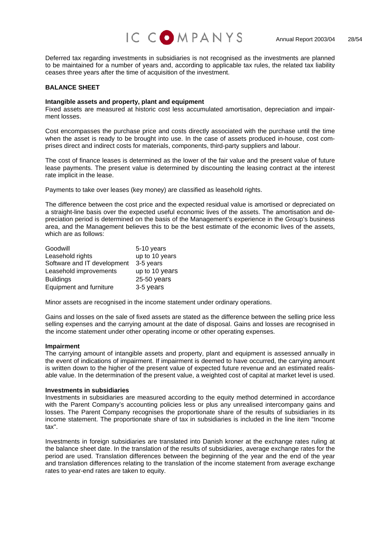

Deferred tax regarding investments in subsidiaries is not recognised as the investments are planned to be maintained for a number of years and, according to applicable tax rules, the related tax liability ceases three years after the time of acquisition of the investment.

#### **BALANCE SHEET**

#### **Intangible assets and property, plant and equipment**

Fixed assets are measured at historic cost less accumulated amortisation, depreciation and impairment losses.

Cost encompasses the purchase price and costs directly associated with the purchase until the time when the asset is ready to be brought into use. In the case of assets produced in-house, cost comprises direct and indirect costs for materials, components, third-party suppliers and labour.

The cost of finance leases is determined as the lower of the fair value and the present value of future lease payments. The present value is determined by discounting the leasing contract at the interest rate implicit in the lease.

Payments to take over leases (key money) are classified as leasehold rights.

The difference between the cost price and the expected residual value is amortised or depreciated on a straight-line basis over the expected useful economic lives of the assets. The amortisation and depreciation period is determined on the basis of the Management's experience in the Group's business area, and the Management believes this to be the best estimate of the economic lives of the assets, which are as follows:

| Goodwill                    | 5-10 years     |
|-----------------------------|----------------|
| Leasehold rights            | up to 10 years |
| Software and IT development | 3-5 years      |
| Leasehold improvements      | up to 10 years |
| <b>Buildings</b>            | 25-50 years    |
| Equipment and furniture     | 3-5 years      |

Minor assets are recognised in the income statement under ordinary operations.

Gains and losses on the sale of fixed assets are stated as the difference between the selling price less selling expenses and the carrying amount at the date of disposal. Gains and losses are recognised in the income statement under other operating income or other operating expenses.

#### **Impairment**

The carrying amount of intangible assets and property, plant and equipment is assessed annually in the event of indications of impairment. If impairment is deemed to have occurred, the carrying amount is written down to the higher of the present value of expected future revenue and an estimated realisable value. In the determination of the present value, a weighted cost of capital at market level is used.

#### **Investments in subsidiaries**

Investments in subsidiaries are measured according to the equity method determined in accordance with the Parent Company's accounting policies less or plus any unrealised intercompany gains and losses. The Parent Company recognises the proportionate share of the results of subsidiaries in its income statement. The proportionate share of tax in subsidiaries is included in the line item "Income tax".

Investments in foreign subsidiaries are translated into Danish kroner at the exchange rates ruling at the balance sheet date. In the translation of the results of subsidiaries, average exchange rates for the period are used. Translation differences between the beginning of the year and the end of the year and translation differences relating to the translation of the income statement from average exchange rates to year-end rates are taken to equity.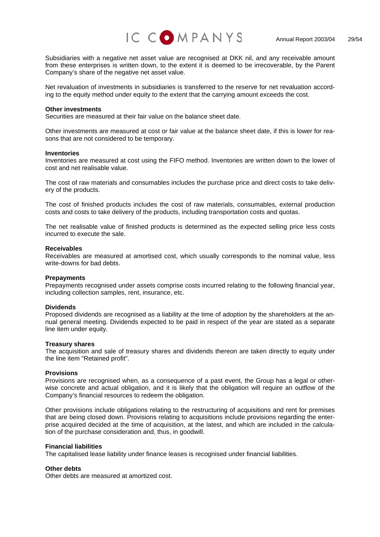



Subsidiaries with a negative net asset value are recognised at DKK nil, and any receivable amount from these enterprises is written down, to the extent it is deemed to be irrecoverable, by the Parent Company's share of the negative net asset value.

Net revaluation of investments in subsidiaries is transferred to the reserve for net revaluation according to the equity method under equity to the extent that the carrying amount exceeds the cost.

#### **Other investments**

Securities are measured at their fair value on the balance sheet date.

Other investments are measured at cost or fair value at the balance sheet date, if this is lower for reasons that are not considered to be temporary.

#### **Inventories**

Inventories are measured at cost using the FIFO method. Inventories are written down to the lower of cost and net realisable value.

The cost of raw materials and consumables includes the purchase price and direct costs to take delivery of the products.

The cost of finished products includes the cost of raw materials, consumables, external production costs and costs to take delivery of the products, including transportation costs and quotas.

The net realisable value of finished products is determined as the expected selling price less costs incurred to execute the sale.

#### **Receivables**

Receivables are measured at amortised cost, which usually corresponds to the nominal value, less write-downs for bad debts.

#### **Prepayments**

Prepayments recognised under assets comprise costs incurred relating to the following financial year, including collection samples, rent, insurance, etc.

#### **Dividends**

Proposed dividends are recognised as a liability at the time of adoption by the shareholders at the annual general meeting. Dividends expected to be paid in respect of the year are stated as a separate line item under equity.

#### **Treasury shares**

The acquisition and sale of treasury shares and dividends thereon are taken directly to equity under the line item "Retained profit".

#### **Provisions**

Provisions are recognised when, as a consequence of a past event, the Group has a legal or otherwise concrete and actual obligation, and it is likely that the obligation will require an outflow of the Company's financial resources to redeem the obligation.

Other provisions include obligations relating to the restructuring of acquisitions and rent for premises that are being closed down. Provisions relating to acquisitions include provisions regarding the enterprise acquired decided at the time of acquisition, at the latest, and which are included in the calculation of the purchase consideration and, thus, in goodwill.

#### **Financial liabilities**

The capitalised lease liability under finance leases is recognised under financial liabilities.

#### **Other debts**

Other debts are measured at amortized cost.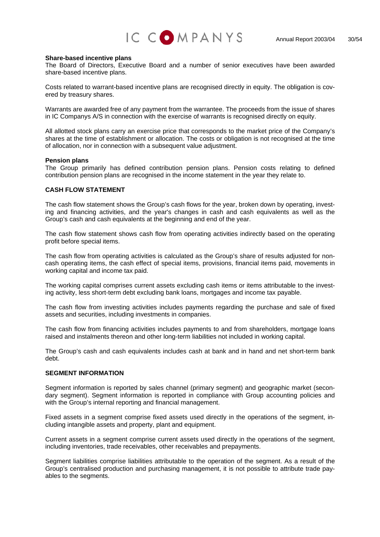

#### **Share-based incentive plans**

The Board of Directors, Executive Board and a number of senior executives have been awarded share-based incentive plans.

Costs related to warrant-based incentive plans are recognised directly in equity. The obligation is covered by treasury shares.

Warrants are awarded free of any payment from the warrantee. The proceeds from the issue of shares in IC Companys A/S in connection with the exercise of warrants is recognised directly on equity.

All allotted stock plans carry an exercise price that corresponds to the market price of the Company's shares at the time of establishment or allocation. The costs or obligation is not recognised at the time of allocation, nor in connection with a subsequent value adjustment.

#### **Pension plans**

The Group primarily has defined contribution pension plans. Pension costs relating to defined contribution pension plans are recognised in the income statement in the year they relate to.

#### **CASH FLOW STATEMENT**

The cash flow statement shows the Group's cash flows for the year, broken down by operating, investing and financing activities, and the year's changes in cash and cash equivalents as well as the Group's cash and cash equivalents at the beginning and end of the year.

The cash flow statement shows cash flow from operating activities indirectly based on the operating profit before special items.

The cash flow from operating activities is calculated as the Group's share of results adjusted for noncash operating items, the cash effect of special items, provisions, financial items paid, movements in working capital and income tax paid.

The working capital comprises current assets excluding cash items or items attributable to the investing activity, less short-term debt excluding bank loans, mortgages and income tax payable.

The cash flow from investing activities includes payments regarding the purchase and sale of fixed assets and securities, including investments in companies.

The cash flow from financing activities includes payments to and from shareholders, mortgage loans raised and instalments thereon and other long-term liabilities not included in working capital.

The Group's cash and cash equivalents includes cash at bank and in hand and net short-term bank debt.

#### **SEGMENT INFORMATION**

Segment information is reported by sales channel (primary segment) and geographic market (secondary segment). Segment information is reported in compliance with Group accounting policies and with the Group's internal reporting and financial management.

Fixed assets in a segment comprise fixed assets used directly in the operations of the segment, including intangible assets and property, plant and equipment.

Current assets in a segment comprise current assets used directly in the operations of the segment, including inventories, trade receivables, other receivables and prepayments.

Segment liabilities comprise liabilities attributable to the operation of the segment. As a result of the Group's centralised production and purchasing management, it is not possible to attribute trade payables to the segments.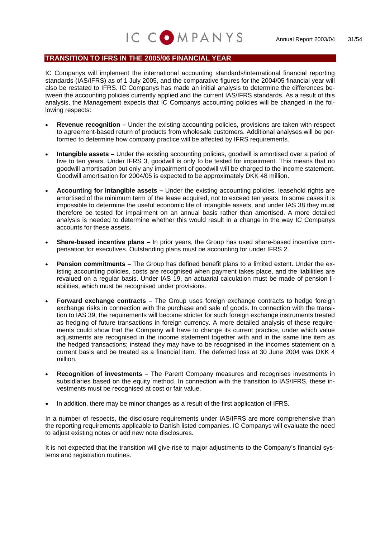## **TRANSITION TO IFRS IN THE 2005/06 FINANCIAL YEAR**

IC Companys will implement the international accounting standards/international financial reporting standards (IAS/IFRS) as of 1 July 2005, and the comparative figures for the 2004/05 financial year will also be restated to IFRS. IC Companys has made an initial analysis to determine the differences between the accounting policies currently applied and the current IAS/IFRS standards. As a result of this analysis, the Management expects that IC Companys accounting policies will be changed in the following respects:

IC COMPANYS

- **Revenue recognition** Under the existing accounting policies, provisions are taken with respect to agreement-based return of products from wholesale customers. Additional analyses will be performed to determine how company practice will be affected by IFRS requirements.
- **Intangible assets** Under the existing accounting policies, goodwill is amortised over a period of five to ten years. Under IFRS 3, goodwill is only to be tested for impairment. This means that no goodwill amortisation but only any impairment of goodwill will be charged to the income statement. Goodwill amortisation for 2004/05 is expected to be approximately DKK 48 million.
- **Accounting for intangible assets** Under the existing accounting policies, leasehold rights are amortised of the minimum term of the lease acquired, not to exceed ten years. In some cases it is impossible to determine the useful economic life of intangible assets, and under IAS 38 they must therefore be tested for impairment on an annual basis rather than amortised. A more detailed analysis is needed to determine whether this would result in a change in the way IC Companys accounts for these assets.
- **Share-based incentive plans** In prior years, the Group has used share-based incentive compensation for executives. Outstanding plans must be accounting for under IFRS 2.
- **Pension commitments** The Group has defined benefit plans to a limited extent. Under the existing accounting policies, costs are recognised when payment takes place, and the liabilities are revalued on a regular basis. Under IAS 19, an actuarial calculation must be made of pension liabilities, which must be recognised under provisions.
- **Forward exchange contracts** The Group uses foreign exchange contracts to hedge foreign exchange risks in connection with the purchase and sale of goods. In connection with the transition to IAS 39, the requirements will become stricter for such foreign exchange instruments treated as hedging of future transactions in foreign currency. A more detailed analysis of these requirements could show that the Company will have to change its current practice, under which value adjustments are recognised in the income statement together with and in the same line item as the hedged transactions; instead they may have to be recognised in the incomes statement on a current basis and be treated as a financial item. The deferred loss at 30 June 2004 was DKK 4 million.
- **Recognition of investments** The Parent Company measures and recognises investments in subsidiaries based on the equity method. In connection with the transition to IAS/IFRS, these investments must be recognised at cost or fair value.
- In addition, there may be minor changes as a result of the first application of IFRS.

In a number of respects, the disclosure requirements under IAS/IFRS are more comprehensive than the reporting requirements applicable to Danish listed companies. IC Companys will evaluate the need to adjust existing notes or add new note disclosures.

It is not expected that the transition will give rise to major adjustments to the Company's financial systems and registration routines.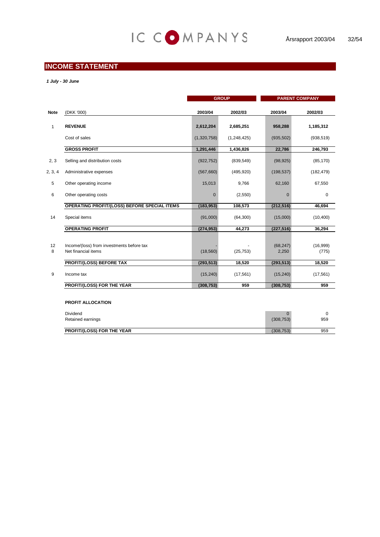## **INCOME STATEMENT**

*1 July - 30 June*

|             |                                                                  | <b>GROUP</b> |               | <b>PARENT COMPANY</b>      |                   |
|-------------|------------------------------------------------------------------|--------------|---------------|----------------------------|-------------------|
| <b>Note</b> | (DKK '000)                                                       | 2003/04      | 2002/03       | 2003/04                    | 2002/03           |
| 1           | <b>REVENUE</b>                                                   | 2,612,204    | 2,685,251     | 958,288                    | 1,185,312         |
|             | Cost of sales                                                    | (1,320,758)  | (1, 248, 425) | (935, 502)                 | (938, 519)        |
|             | <b>GROSS PROFIT</b>                                              | 1,291,446    | 1,436,826     | 22,786                     | 246,793           |
| 2, 3        | Selling and distribution costs                                   | (922, 752)   | (839, 549)    | (98, 925)                  | (85, 170)         |
| 2, 3, 4     | Administrative expenses                                          | (567,660)    | (495, 920)    | (198, 537)                 | (182, 479)        |
| 5           | Other operating income                                           | 15,013       | 9,766         | 62,160                     | 67,550            |
| 6           | Other operating costs                                            | $\mathbf 0$  | (2,550)       | $\mathbf 0$                | $\pmb{0}$         |
|             | OPERATING PROFIT/(LOSS) BEFORE SPECIAL ITEMS                     | (183, 953)   | 108,573       | (212, 516)                 | 46,694            |
| 14          | Special items                                                    | (91,000)     | (64, 300)     | (15,000)                   | (10, 400)         |
|             | <b>OPERATING PROFIT</b>                                          | (274, 953)   | 44,273        | (227, 516)                 | 36,294            |
| 12<br>8     | Income/(loss) from investments before tax<br>Net financial items | (18, 560)    | (25, 753)     | (68, 247)<br>2,250         | (16,999)<br>(775) |
|             | <b>PROFIT/(LOSS) BEFORE TAX</b>                                  | (293, 513)   | 18,520        | (293, 513)                 | 18,520            |
| 9           | Income tax                                                       | (15, 240)    | (17, 561)     | (15, 240)                  | (17, 561)         |
|             | PROFIT/(LOSS) FOR THE YEAR                                       | (308, 753)   | 959           | (308, 753)                 | 959               |
|             | PROFIT ALLOCATION                                                |              |               |                            |                   |
|             | Dividend<br>Retained earnings                                    |              |               | $\mathbf{0}$<br>(308, 753) | 0<br>959          |
|             | PROFIT/(LOSS) FOR THE YEAR                                       |              |               | (308, 753)                 | 959               |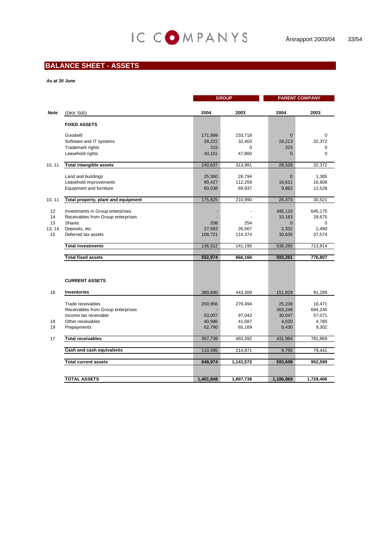## **BALANCE SHEET - ASSETS**

#### *As at 30 June*

|             |                                                                        | <b>GROUP</b> |           | <b>PARENT COMPANY</b> |                   |
|-------------|------------------------------------------------------------------------|--------------|-----------|-----------------------|-------------------|
|             |                                                                        |              |           |                       |                   |
| <b>Note</b> | (DKK '000)                                                             | 2004         | 2003      | 2004                  | 2003              |
|             | <b>FIXED ASSETS</b>                                                    |              |           |                       |                   |
|             |                                                                        |              |           |                       |                   |
|             | Goodwill                                                               | 171,999      | 233,718   | $\mathbf{0}$          | 0                 |
|             | Software and IT systems                                                | 28,222       | 32,403    | 28,213                | 32,372            |
|             | Trademark rights                                                       | 315          | 0         | 315                   | 0                 |
|             | Leasehold rights                                                       | 40,101       | 47,860    | $\overline{0}$        | $\mathbf 0$       |
| 10, 11      | <b>Total intangible assets</b>                                         | 240,637      | 313,981   | 28,528                | 32,372            |
|             | Land and buildings                                                     | 25,360       | 28,794    | $\overline{0}$        | 1,385             |
|             | Leasehold improvements                                                 | 90,427       | 112,259   | 16,611                | 16,608            |
|             | Equipment and furniture                                                | 60,038       | 69,937    | 9,862                 | 12,528            |
|             |                                                                        |              |           |                       |                   |
| 10, 11      | Total property, plant and equipment                                    | 175,825      | 210,990   | 26,473                | 30,521            |
| 12          |                                                                        |              |           |                       |                   |
| 14          | Investments in Group enterprises<br>Receivables from Group enterprises |              |           | 495,110<br>10,183     | 645,175<br>28,675 |
| 13          | <b>Shares</b>                                                          | 208          | 254       | $\Omega$              | $\Omega$          |
| 13, 14      | Deposits, etc.                                                         | 27,583       | 26,567    | 2,332                 | 2,490             |
| 15          | Deferred tax assets                                                    | 108,721      | 114,374   | 30,635                | 37,574            |
|             |                                                                        |              |           |                       |                   |
|             | <b>Total investments</b>                                               | 136,512      | 141,195   | 538,260               | 713,914           |
|             | <b>Total fixed assets</b>                                              | 552,974      | 666,166   | 593,261               | 776,807           |
|             |                                                                        |              |           |                       |                   |
|             |                                                                        |              |           |                       |                   |
|             | <b>CURRENT ASSETS</b>                                                  |              |           |                       |                   |
|             |                                                                        |              |           |                       |                   |
| 16          | <b>Inventories</b>                                                     | 380,840      | 443,309   | 151,829               | 91,289            |
|             | Trade receivables                                                      | 200,956      | 279,494   | 25,239                | 16,471            |
|             | Receivables from Group enterprises                                     |              |           | 363,248               | 694,245           |
|             | Income tax receivable                                                  | 53,007       | 97,042    | 30,047                | 57,071            |
| 18          | Other receivables                                                      | 40,986       | 41,687    | 4,020                 | 4,780             |
| 19          | Prepayments                                                            | 62,790       | 65,169    | 9,430                 | 9,302             |
|             |                                                                        |              |           |                       |                   |
| 17          | <b>Total receivables</b>                                               | 357,739      | 483,392   | 431,984               | 781,869           |
|             | Cash and cash equivalents                                              | 110,395      | 214,871   | 9,795                 | 79,441            |
|             |                                                                        |              |           |                       |                   |
|             | <b>Total current assets</b>                                            | 848,974      | 1,141,572 | 593,608               | 952,599           |
|             |                                                                        |              |           |                       |                   |
|             | <b>TOTAL ASSETS</b>                                                    | 1,401,948    | 1,807,738 | 1,186,869             | 1,729,406         |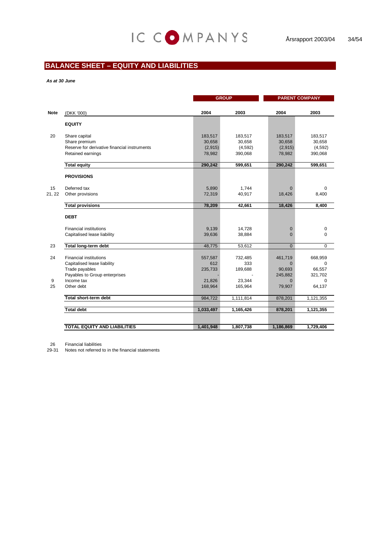## **BALANCE SHEET – EQUITY AND LIABILITIES**

*As at 30 June*

|              |                                                                                                                 |                                        | <b>GROUP</b>                             | <b>PARENT COMPANY</b>                    |                                          |  |
|--------------|-----------------------------------------------------------------------------------------------------------------|----------------------------------------|------------------------------------------|------------------------------------------|------------------------------------------|--|
| <b>Note</b>  | (DKK '000)                                                                                                      | 2004                                   | 2003                                     | 2004                                     | 2003                                     |  |
|              | <b>EQUITY</b>                                                                                                   |                                        |                                          |                                          |                                          |  |
| 20           | Share capital<br>Share premium<br>Reserve for derivative financial instruments<br>Retained earnings             | 183,517<br>30,658<br>(2,915)<br>78,982 | 183,517<br>30,658<br>(4, 592)<br>390,068 | 183,517<br>30,658<br>(2,915)<br>78,982   | 183,517<br>30,658<br>(4,592)<br>390,068  |  |
|              | <b>Total equity</b>                                                                                             | 290,242                                | 599,651                                  | 290,242                                  | 599,651                                  |  |
|              | <b>PROVISIONS</b>                                                                                               |                                        |                                          |                                          |                                          |  |
| 15<br>21, 22 | Deferred tax<br>Other provisions                                                                                | 5,890<br>72,319                        | 1,744<br>40,917                          | $\mathbf{0}$<br>18,426                   | $\mathbf 0$<br>8,400                     |  |
|              | <b>Total provisions</b>                                                                                         | 78,209                                 | 42,661                                   | 18,426                                   | 8,400                                    |  |
|              | <b>DEBT</b>                                                                                                     |                                        |                                          |                                          |                                          |  |
|              | <b>Financial institutions</b><br>Capitalised lease liability                                                    | 9,139<br>39,636                        | 14,728<br>38,884                         | $\mathbf 0$<br>$\overline{0}$            | 0<br>0                                   |  |
| 23           | <b>Total long-term debt</b>                                                                                     | 48,775                                 | 53,612                                   | $\mathbf{0}$                             | $\mathbf 0$                              |  |
| 24           | <b>Financial institutions</b><br>Capitalised lease liability<br>Trade payables<br>Payables to Group enterprises | 557,587<br>612<br>235,733              | 732,485<br>333<br>189,688                | 461,719<br>$\Omega$<br>90,693<br>245,882 | 668,959<br>$\Omega$<br>66,557<br>321,702 |  |
| 9<br>25      | Income tax<br>Other debt                                                                                        | 21,826<br>168,964                      | 23,344<br>165,964                        | $\Omega$<br>79,907                       | $\Omega$<br>64,137                       |  |
|              | Total short-term debt                                                                                           |                                        |                                          |                                          |                                          |  |
|              |                                                                                                                 | 984,722                                | 1,111,814                                | 878,201                                  | 1,121,355                                |  |
|              | <b>Total debt</b>                                                                                               | 1,033,497                              | 1,165,426                                | 878,201                                  | 1,121,355                                |  |
|              | <b>TOTAL EQUITY AND LIABILITIES</b>                                                                             | 1,401,948                              | 1,807,738                                | 1,186,869                                | 1,729,406                                |  |

26 Financial liabilities

29-31 Notes not referred to in the financial statements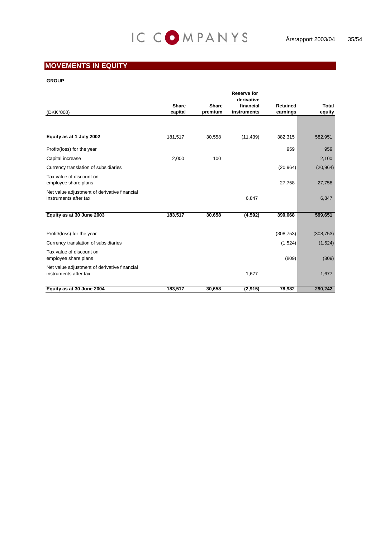## **MOVEMENTS IN EQUITY**

#### **GROUP**

|                                                                       |              |              | <b>Reserve for</b><br>derivative |                 |            |
|-----------------------------------------------------------------------|--------------|--------------|----------------------------------|-----------------|------------|
|                                                                       | <b>Share</b> | <b>Share</b> | financial                        | <b>Retained</b> | Total      |
| (DKK '000)                                                            | capital      | premium      | instruments                      | earnings        | equity     |
|                                                                       |              |              |                                  |                 |            |
| Equity as at 1 July 2002                                              | 181,517      | 30,558       | (11, 439)                        | 382,315         | 582,951    |
| Profit/(loss) for the year                                            |              |              |                                  | 959             | 959        |
| Capital increase                                                      | 2,000        | 100          |                                  |                 | 2,100      |
| Currency translation of subsidiaries                                  |              |              |                                  | (20, 964)       | (20, 964)  |
| Tax value of discount on<br>employee share plans                      |              |              |                                  | 27,758          | 27,758     |
| Net value adjustment of derivative financial<br>instruments after tax |              |              | 6,847                            |                 | 6,847      |
| Equity as at 30 June 2003                                             | 183,517      | 30,658       | (4,592)                          | 390,068         | 599,651    |
| Profit/(loss) for the year                                            |              |              |                                  | (308, 753)      | (308, 753) |
| Currency translation of subsidiaries                                  |              |              |                                  | (1,524)         | (1,524)    |
| Tax value of discount on<br>employee share plans                      |              |              |                                  | (809)           | (809)      |
| Net value adjustment of derivative financial<br>instruments after tax |              |              | 1,677                            |                 | 1,677      |
| Equity as at 30 June 2004                                             | 183,517      | 30.658       | (2, 915)                         | 78,982          | 290,242    |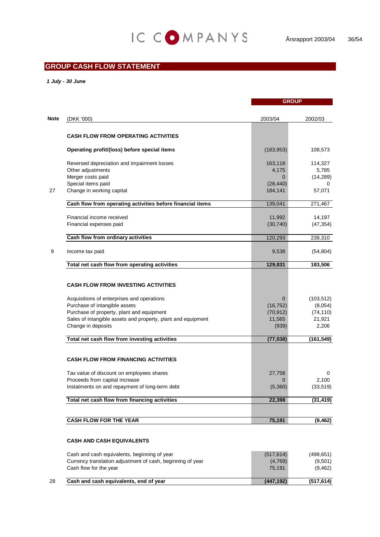## **GROUP CASH FLOW STATEMENT**

*1 July - 30 June*

| 2003/04<br>(183, 953)<br>163,118<br>4,175             | 2002/03<br>108,573<br>114,327                         |
|-------------------------------------------------------|-------------------------------------------------------|
|                                                       |                                                       |
|                                                       |                                                       |
|                                                       |                                                       |
|                                                       |                                                       |
|                                                       |                                                       |
|                                                       | 5,785<br>(14, 289)                                    |
|                                                       | 0                                                     |
| 184,141                                               | 57,071                                                |
| 139,041                                               | 271,467                                               |
| 11,992                                                | 14,197                                                |
| (30, 740)                                             | (47, 354)                                             |
| 120,293                                               | 238,310                                               |
| 9,538                                                 | (54, 804)                                             |
| 129,831                                               | 183,506                                               |
| $\Omega$<br>(16, 752)<br>(70, 912)<br>11,565<br>(939) | (103, 512)<br>(8,054)<br>(74, 110)<br>21,921<br>2,206 |
| (77, 038)                                             | (161, 549)                                            |
|                                                       |                                                       |
| 27,758                                                | 0                                                     |
| $\Omega$                                              | 2,100                                                 |
| (5,360)                                               | (33, 519)                                             |
| 22,398                                                | (31, 419)                                             |
|                                                       | (9, 462)                                              |
|                                                       | (28, 440)<br>75,191                                   |

#### **CASH AND CASH EQUIVALENTS**

| 28 | Cash and cash equivalents, end of year                                               | (447.192)         | (517, 614)          |
|----|--------------------------------------------------------------------------------------|-------------------|---------------------|
|    | Currency translation adjustment of cash, beginning of year<br>Cash flow for the year | (4,769)<br>75.191 | (9,501)<br>(9, 462) |
|    | Cash and cash equivalents, beginning of year                                         | (517, 614)        | (498,651)           |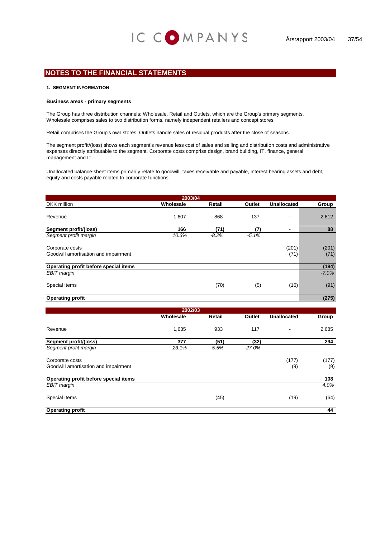#### **1. SEGMENT INFORMATION**

#### **Business areas - primary segments**

The Group has three distribution channels: Wholesale, Retail and Outlets, which are the Group's primary segments. Wholesale comprises sales to two distribution forms, namely independent retailers and concept stores.

Retail comprises the Group's own stores. Outlets handle sales of residual products after the close of seasons.

The segment profit/(loss) shows each segment's revenue less cost of sales and selling and distribution costs and administrative expenses directly attributable to the segment. Corporate costs comprise design, brand building, IT, finance, general management and IT.

Unallocated balance-sheet items primarily relate to goodwill, taxes receivable and payable, interest-bearing assets and debt, equity and costs payable related to corporate functions.

| 2003/04                                                 |           |         |         |                    |               |  |  |  |  |
|---------------------------------------------------------|-----------|---------|---------|--------------------|---------------|--|--|--|--|
| <b>DKK</b> million                                      | Wholesale | Retail  | Outlet  | <b>Unallocated</b> | Group         |  |  |  |  |
| Revenue                                                 | 1,607     | 868     | 137     |                    | 2,612         |  |  |  |  |
| Segment profit/(loss)                                   | 166       | (71)    | (7)     |                    | 88            |  |  |  |  |
| Segment profit margin                                   | 10.3%     | $-8.2%$ | $-5.1%$ |                    |               |  |  |  |  |
| Corporate costs<br>Goodwill amortisation and impairment |           |         |         | (201)<br>(71)      | (201)<br>(71) |  |  |  |  |
| Operating profit before special items                   |           |         |         |                    | (184)         |  |  |  |  |
| <b>EBIT</b> margin                                      |           |         |         |                    | $-7.0%$       |  |  |  |  |
| Special items                                           |           | (70)    | (5)     | (16)               | (91)          |  |  |  |  |
| <b>Operating profit</b>                                 |           |         |         |                    | (275)         |  |  |  |  |

| 2002/03                               |           |         |          |                    |       |  |  |  |
|---------------------------------------|-----------|---------|----------|--------------------|-------|--|--|--|
|                                       | Wholesale | Retail  | Outlet   | <b>Unallocated</b> | Group |  |  |  |
| Revenue                               | 1,635     | 933     | 117      |                    | 2,685 |  |  |  |
| <b>Segment profit/(loss)</b>          | 377       | (51)    | (32)     |                    | 294   |  |  |  |
| Segment profit margin                 | 23.1%     | $-5.5%$ | $-27.0%$ |                    |       |  |  |  |
| Corporate costs                       |           |         |          | (177)              | (177) |  |  |  |
| Goodwill amortisation and impairment  |           |         |          | (9)                | (9)   |  |  |  |
| Operating profit before special items |           |         |          |                    | 108   |  |  |  |
| <b>EBIT</b> margin                    |           |         |          |                    | 4.0%  |  |  |  |
| Special items                         |           | (45)    |          | (19)               | (64)  |  |  |  |
| <b>Operating profit</b>               |           |         |          |                    | 44    |  |  |  |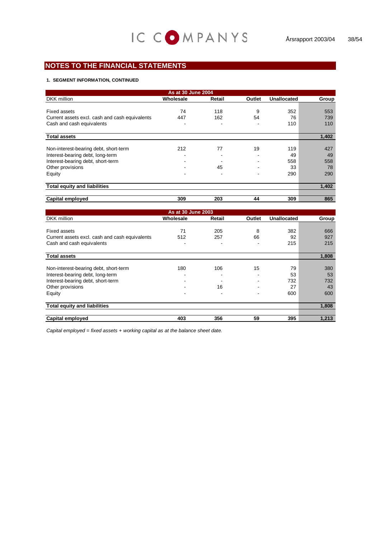#### **1. SEGMENT INFORMATION, CONTINUED**

| As at 30 June 2004                             |           |        |                          |                    |       |  |  |  |
|------------------------------------------------|-----------|--------|--------------------------|--------------------|-------|--|--|--|
| DKK million                                    | Wholesale | Retail | Outlet                   | <b>Unallocated</b> | Group |  |  |  |
|                                                |           |        |                          |                    |       |  |  |  |
| <b>Fixed assets</b>                            | 74        | 118    | 9                        | 352                | 553   |  |  |  |
| Current assets excl. cash and cash equivalents | 447       | 162    | 54                       | 76                 | 739   |  |  |  |
| Cash and cash equivalents                      |           |        |                          | 110                | 110   |  |  |  |
|                                                |           |        |                          |                    |       |  |  |  |
| <b>Total assets</b>                            |           |        |                          |                    | 1,402 |  |  |  |
|                                                |           |        |                          |                    |       |  |  |  |
| Non-interest-bearing debt, short-term          | 212       | 77     | 19                       | 119                | 427   |  |  |  |
| Interest-bearing debt, long-term               | -         | ٠      | -                        | 49                 | 49    |  |  |  |
| Interest-bearing debt, short-term              | -         |        | $\overline{\phantom{a}}$ | 558                | 558   |  |  |  |
| Other provisions                               |           | 45     |                          | 33                 | 78    |  |  |  |
| Equity                                         |           |        |                          | 290                | 290   |  |  |  |
|                                                |           |        |                          |                    |       |  |  |  |
| <b>Total equity and liabilities</b>            |           |        |                          |                    | 1,402 |  |  |  |
|                                                |           |        |                          |                    |       |  |  |  |
| <b>Capital employed</b>                        | 309       | 203    | 44                       | 309                | 865   |  |  |  |

| As at 30 June 2003                             |           |        |        |                    |       |  |  |
|------------------------------------------------|-----------|--------|--------|--------------------|-------|--|--|
| <b>DKK</b> million                             | Wholesale | Retail | Outlet | <b>Unallocated</b> | Group |  |  |
|                                                |           |        |        |                    |       |  |  |
| Fixed assets                                   | 71        | 205    | 8      | 382                | 666   |  |  |
| Current assets excl. cash and cash equivalents | 512       | 257    | 66     | 92                 | 927   |  |  |
| Cash and cash equivalents                      |           |        |        | 215                | 215   |  |  |
| <b>Total assets</b>                            |           |        |        |                    | 1,808 |  |  |
|                                                |           |        |        |                    |       |  |  |
| Non-interest-bearing debt, short-term          | 180       | 106    | 15     | 79                 | 380   |  |  |
| Interest-bearing debt, long-term               |           |        |        | 53                 | 53    |  |  |
| Interest-bearing debt, short-term              |           |        |        | 732                | 732   |  |  |
| Other provisions                               |           | 16     |        | 27                 | 43    |  |  |
| Equity                                         |           |        |        | 600                | 600   |  |  |
| <b>Total equity and liabilities</b>            |           |        |        |                    | 1,808 |  |  |
|                                                |           |        |        |                    |       |  |  |
| <b>Capital employed</b>                        | 403       | 356    | 59     | 395                | 1,213 |  |  |

*Capital employed = fixed assets + working capital as at the balance sheet date.*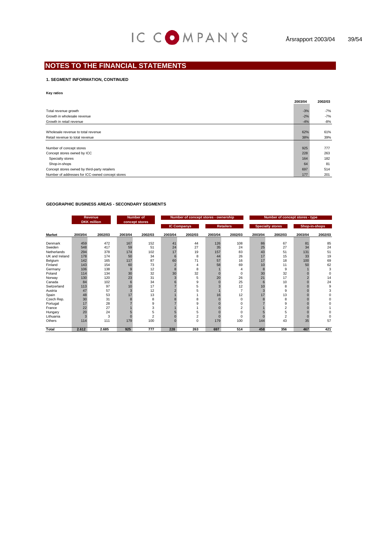#### **1. SEGMENT INFORMATION, CONTINUED**

#### **Key ratios**

|                                                  | 2003/04 | 2002/03 |
|--------------------------------------------------|---------|---------|
|                                                  |         |         |
| Total revenue growth                             | $-3%$   | $-7%$   |
| Growth in wholesale revenue                      | $-2%$   | $-7%$   |
| Growth in retail revenue                         | $-4%$   | $-8%$   |
|                                                  |         |         |
| Wholesale revenue to total revenue               | 62%     | 61%     |
| Retail revenue to total revenue                  | 38%     | 39%     |
|                                                  |         |         |
| Number of concept stores                         | 925     | 777     |
| Concept stores owned by ICC                      | 228     | 263     |
| Specialty stores                                 | 164     | 182     |
| Shop-in-shops                                    | 64      | 81      |
| Concept stores owned by third-party retailers    | 697     | 514     |
| Number of addresses for ICC-owned concept stores | 177     | 201     |

#### **GEOGRAPHIC BUSINESS AREAS - SECONDARY SEGMENTS**

| <b>Revenue</b><br><b>DKK</b> million |         |         |         | <b>Number of</b><br>Number of concept stores - ownership<br>concept stores |         |                    |         | Number of concept stores - type |         |                         |         |               |
|--------------------------------------|---------|---------|---------|----------------------------------------------------------------------------|---------|--------------------|---------|---------------------------------|---------|-------------------------|---------|---------------|
|                                      |         |         |         |                                                                            |         | <b>IC Companys</b> |         | <b>Retailers</b>                |         | <b>Specialty stores</b> |         | Shop-in-shops |
| <b>Market</b>                        | 2003/04 | 2002/03 | 2003/04 | 2002/03                                                                    | 2003/04 | 2002/03            | 2003/04 | 2002/03                         | 2003/04 | 2002/03                 | 2003/04 | 2002/03       |
| Denmark                              | 459     | 472     | 167     | 152                                                                        | 41      | 44                 | 126     | 108                             | 86      | 67                      | 81      | 85            |
| Sweden                               | 548     | 417     | 59      | 51                                                                         | 24      | 27                 | 35      | 24                              | 25      | 27                      | 34      | 24            |
| Netherlands                          | 294     | 378     | 174     | 102                                                                        | 17      | 19                 | 157     | 83                              | 43      | 51                      | 131     | 51            |
| UK and Ireland                       | 178     | 174     | 50      | 34                                                                         |         | 8                  | 44      | 26                              | 17      | 15                      | 33      | 19            |
| Belgium                              | 142     | 165     | 117     | 87                                                                         | 60      | 71                 | 57      | 16                              | 17      | 18                      | 100     | 69            |
| Finland                              | 143     | 154     | 60      | 73                                                                         |         | 4                  | 58      | 69                              | 10      | 11                      | 50      | 62            |
| Germany                              | 106     | 138     | 9       | 12                                                                         |         | 8                  |         | 4                               | 8       | 9                       |         | 3             |
| Poland                               | 114     | 134     | 30      | 32                                                                         | 30      | 32                 |         | $\Omega$                        | 30      | 32                      |         | $\Omega$      |
| Norway                               | 130     | 120     | 23      | 31                                                                         | 3       | 5                  | 20      | 26                              | 21      | 17                      |         | 14            |
| Canada                               | 84      | 102     | 6       | 34                                                                         |         | 9                  |         | 25                              | 6       | 10                      |         | 24            |
| Switzerland                          | 113     | 97      | 10      | 17                                                                         |         | 5                  |         | 12                              | 10      | 8                       |         | 9             |
| Austria                              | 47      | 57      | 3       | 12                                                                         |         |                    |         | 7                               |         | 9                       |         | 3             |
| Spain                                | 48      | 53      | 17      | 13                                                                         |         |                    | 16      | 12                              | 17      | 13                      |         | 0             |
| Czech Rep.                           | 30      | 31      |         | 8                                                                          |         | 8                  |         | 0                               |         | 8                       |         |               |
| Portugal                             | 17      | 28      |         | 9                                                                          |         |                    |         |                                 |         | 9                       |         |               |
| France                               | 22      | 27      |         | 3                                                                          |         |                    |         | $\overline{\phantom{a}}$        |         | $\overline{2}$          |         |               |
| Hungary                              | 20      | 24      |         | 5                                                                          |         | 5                  |         | n                               |         | 5                       |         |               |
| Lithuania                            | 3       | 3       |         | $\overline{c}$                                                             |         | 2                  |         | n                               |         | 2                       |         | 0             |
| Others                               | 114     | 111     | 179     | 100                                                                        |         | $\Omega$           | 179     | 100                             | 144     | 43                      | 35      | 57            |
| Total                                | 2.612   | 2.685   | 925     | 777                                                                        | 228     | 263                | 697     | 514                             | 458     | 356                     | 467     | 421           |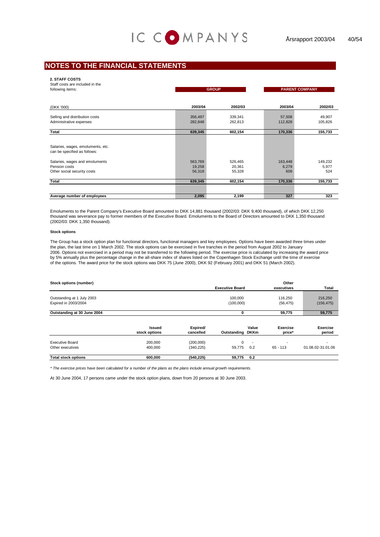#### **2. STAFF COSTS**

| Staff costs are included in the<br>following items:                            | <b>GROUP</b>                |                             | <b>PARENT COMPANY</b>   |                         |  |
|--------------------------------------------------------------------------------|-----------------------------|-----------------------------|-------------------------|-------------------------|--|
| (DKK '000)                                                                     | 2003/04                     | 2002/03                     | 2003/04                 | 2002/03                 |  |
| Selling and distribution costs<br>Administrative expenses                      | 356,497<br>282,848          | 339,341<br>262,813          | 57,508<br>112,828       | 49,907<br>105,826       |  |
| Total                                                                          | 639,345                     | 602,154                     | 170,336                 | 155,733                 |  |
| Salaries, wages, emoluments, etc.<br>can be specified as follows:              |                             |                             |                         |                         |  |
| Salaries, wages and emoluments<br>Pension costs<br>Other social security costs | 563,769<br>19,258<br>56,318 | 526,465<br>20,361<br>55,328 | 163,448<br>6,279<br>609 | 149,232<br>5,977<br>524 |  |
| Total                                                                          | 639,345                     | 602,154                     | 170,336                 | 155,733                 |  |
| Average number of employees                                                    | 2,095                       | 2,199                       | 327                     | 323                     |  |

Emoluments to the Parent Company's Executive Board amounted to DKK 14,881 thousand (2002/03: DKK 9,400 thousand), of which DKK 12,250 thousand was severance pay to former members of the Executive Board. Emoluments to the Board of Directors amounted to DKK 1,350 thousand (2002/03: DKK 1,350 thousand).

#### **Stock options**

The Group has a stock option plan for functional directors, functional managers and key employees. Options have been awarded three times under the plan, the last time on 1 March 2002. The stock options can be exercised in five tranches in the period from August 2002 to January 2006. Options not exercised in a period may not be transferred to the following period. The exercise price is calculated by increasing the award price by 5% annually plus the percentage change in the all-share index of shares listed on the Copenhagen Stock Exchange until the time of exercise of the options. The award price for the stock options was DKK 75 (June 2000), DKK 92 (February 2001) and DKK 51 (March 2002).

| Stock options (number)      |                                |                       |                        |                          | Other                     |                    |
|-----------------------------|--------------------------------|-----------------------|------------------------|--------------------------|---------------------------|--------------------|
|                             |                                |                       | <b>Executive Board</b> |                          | executives                | Total              |
|                             |                                |                       | 100.000                |                          |                           |                    |
| Outstanding at 1 July 2003  |                                |                       |                        |                          | 116,250                   | 216,250            |
| Expired in 2003/2004        |                                |                       | (100,000)              |                          | (56, 475)                 | (156, 475)         |
| Outstanding at 30 June 2004 |                                |                       | 0                      |                          | 59,775                    | 59,775             |
|                             |                                |                       |                        |                          |                           |                    |
|                             | <b>Issued</b><br>stock options | Expired/<br>cancelled | Outstanding DKKm       | Value                    | <b>Exercise</b><br>price* | Exercise<br>period |
|                             |                                |                       |                        |                          |                           |                    |
| <b>Executive Board</b>      | 200.000                        | (200,000)             | $\Omega$               | $\overline{\phantom{a}}$ | $\overline{\phantom{a}}$  |                    |
| Other executives            | 400.000                        | (340, 225)            | 59.775                 | 0.2                      | $65 - 113$                | 01.08.02-31.01.06  |
| <b>Total stock options</b>  | 600.000                        | (540, 225)            | 59,775                 | 0.2                      |                           |                    |

*\* The exercise prices have been calculated for a number of the plans as the plans include annual growth requirements.*

At 30 June 2004, 17 persons came under the stock option plans, down from 20 persons at 30 June 2003.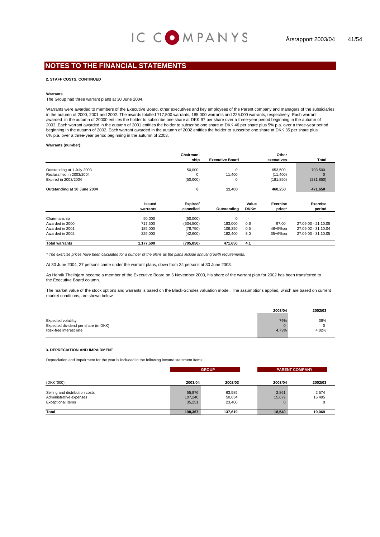#### **2. STAFF COSTS, CONTINUED**

#### **Warrants**

The Group had three warrant plans at 30 June 2004.

Warrants were awarded to members of the Executive Board, other executives and key employees of the Parent company and managers of the subsidiaries in the autumn of 2000, 2001 and 2002. The awards totalled 717,500 warrants, 185,000 warrants and 225.000 warrants, respectively. Each warrant awarded in the autumn of 20000 entitles the holder to subscribe one share at DKK 97 per share over a three-year period beginning in the autumn of 2003. Each warrant awarded in the autumn of 2001 entitles the holder to subscribe one share at DKK 46 per share plus 5% p.a. over a three-year period beginning in the autumn of 2002. Each warrant awarded in the autumn of 2002 entitles the holder to subscribe one share at DKK 35 per share plus 6% p.a. over a three-year period beginning in the autumn of 2003.

**Warrants (number):**

|                             |               | Chairman-  |                        |                          | Other      |                     |
|-----------------------------|---------------|------------|------------------------|--------------------------|------------|---------------------|
|                             |               | ship       | <b>Executive Board</b> |                          | executives | Total               |
|                             |               |            |                        |                          |            |                     |
| Outstanding at 1 July 2003  |               | 50,000     | 0                      |                          | 653,500    | 703,500             |
| Reclassified in 2003/2004   |               | 0          | 11,400                 |                          | (11,400)   | $\mathbf 0$         |
| Expired in 2003/2004        |               | (50,000)   | 0                      |                          | (181, 850) | (231, 850)          |
| Outstanding at 30 June 2004 |               | 0          | 11,400                 |                          | 460,250    | 471,650             |
|                             |               |            |                        |                          |            |                     |
|                             | <b>Issued</b> | Expired/   |                        | Value                    | Exercise   | <b>Exercise</b>     |
|                             | warrants      | cancelled  | Outstanding            | <b>DKKm</b>              | price*     | period              |
| Chairmanship                | 50,000        | (50,000)   | 0                      | $\overline{\phantom{a}}$ |            |                     |
| Awarded in 2000             | 717,500       | (534, 500) | 183,000                | 0.6                      | 97.00      | 27.09.03 - 21.10.05 |
| Awarded in 2001             | 185,000       | (78, 750)  | 106.250                | 0.5                      | 46+5%pa    | 27.09.02 - 31.10.04 |
| Awarded in 2002             | 225,000       | (42,600)   | 182.400                | 3.0                      | 35+6%pa    | 27.09.03 - 31.10.05 |
| <b>Total warrants</b>       | 1,177,500     | (705,850)  | 471,650                | 4.1                      |            |                     |

*\* The exercise prices have been calculated for a number of the plans as the plans include annual growth requirements.*

At 30 June 2004, 27 persons came under the warrant plans, down from 34 persons at 30 June 2003.

As Henrik Theilbjørn became a member of the Executive Board on 6 November 2003, his share of the warrant plan for 2002 has been transferred to the Executive Board column.

The market value of the stock options and warrants is based on the Black-Scholes valuation model. The assumptions applied, which are based on current market conditions, are shown below:

|                                                                                               | 2003/04      | 2002/03      |
|-----------------------------------------------------------------------------------------------|--------------|--------------|
| <b>Expected volatility</b><br>Expected dividend per share (in DKK)<br>Risk-free interest rate | 79%<br>4.73% | 36%<br>4.02% |

#### **3. DEPRECIATION AND IMPAIRMENT**

Depreciation and impairment for the year is included in the following income statement items:

|                                                                                |                             | <b>GROUP</b>               | <b>PARENT COMPANY</b> |                 |
|--------------------------------------------------------------------------------|-----------------------------|----------------------------|-----------------------|-----------------|
| (DKK '000)                                                                     | 2003/04                     | 2002/03                    | 2003/04               | 2002/03         |
| Selling and distribution costs<br>Administrative expenses<br>Exceptional items | 55,876<br>107,240<br>35,251 | 63,585<br>50,634<br>23,400 | 2,861<br>15,679       | 2,574<br>16,495 |
| Total                                                                          | 198,367                     | 137,619                    | 18,540                | 19,069          |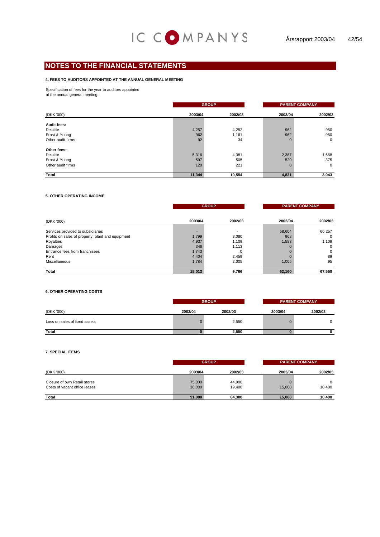#### **4. FEES TO AUDITORS APPOINTED AT THE ANNUAL GENERAL MEETING**

Specification of fees for the year to auditors appointed

at the annual general meeting:

|                   |         | <b>GROUP</b> | <b>PARENT COMPANY</b> |              |  |
|-------------------|---------|--------------|-----------------------|--------------|--|
| (DKK '000)        | 2003/04 | 2002/03      | 2003/04               | 2002/03      |  |
| Audit fees:       |         |              |                       |              |  |
| Deloitte          | 4,257   | 4,252        | 962                   | 950          |  |
| Ernst & Young     | 962     | 1,161        | 962                   | 950          |  |
| Other audit firms | 92      | 34           |                       | $\mathbf{0}$ |  |
| Other fees:       |         |              |                       |              |  |
| Deloitte          | 5,316   | 4,381        | 2,387                 | 1,668        |  |
| Ernst & Young     | 597     | 505          | 520                   | 375          |  |
| Other audit firms | 120     | 221          |                       | $\mathbf{0}$ |  |
| <b>Total</b>      | 11,344  | 10,554       | 4,831                 | 3,943        |  |

#### **5. OTHER OPERATING INCOME**

|                                                   |         | <b>GROUP</b>             |         | <b>PARENT COMPANY</b> |  |  |
|---------------------------------------------------|---------|--------------------------|---------|-----------------------|--|--|
| (DKK '000)                                        | 2003/04 | 2002/03                  | 2003/04 | 2002/03               |  |  |
| Services provided to subsidiaries                 |         | $\overline{\phantom{0}}$ | 58,604  | 66,257                |  |  |
| Profits on sales of property, plant and equipment | 1,799   | 3,080                    | 968     | 0                     |  |  |
| Royalties                                         | 4,937   | 1.109                    | 1,583   | 1,109                 |  |  |
| Damages                                           | 346     | 1,113                    |         | $\Omega$              |  |  |
| Entrance fees from franchisees                    | 1,743   | 0                        |         | $\mathbf 0$           |  |  |
| Rent                                              | 4,404   | 2,459                    |         | 89                    |  |  |
| Miscellaneous                                     | 1,784   | 2,005                    | 1,005   | 95                    |  |  |
| <b>Total</b>                                      | 15,013  | 9,766                    | 62,160  | 67,550                |  |  |

#### **6. OTHER OPERATING COSTS**

|                               |         | <b>GROUP</b> |         | <b>PARENT COMPANY</b> |
|-------------------------------|---------|--------------|---------|-----------------------|
| (DKK '000)                    | 2003/04 | 2002/03      | 2003/04 | 2002/03               |
| Loss on sales of fixed assets |         | 2,550        |         |                       |
| <b>Total</b>                  |         | 2,550        |         |                       |

#### **7. SPECIAL ITEMS**

|                                                               | <b>GROUP</b>     |                  | <b>PARENT COMPANY</b> |         |  |
|---------------------------------------------------------------|------------------|------------------|-----------------------|---------|--|
| (DKK '000)                                                    | 2003/04          | 2002/03          | 2003/04               | 2002/03 |  |
| Closure of own Retail stores<br>Costs of vacant office leases | 75,000<br>16,000 | 44,900<br>19,400 | 15,000                | 10,400  |  |
| <b>Total</b>                                                  | 91,000           | 64.300           | 15.000                | 10,400  |  |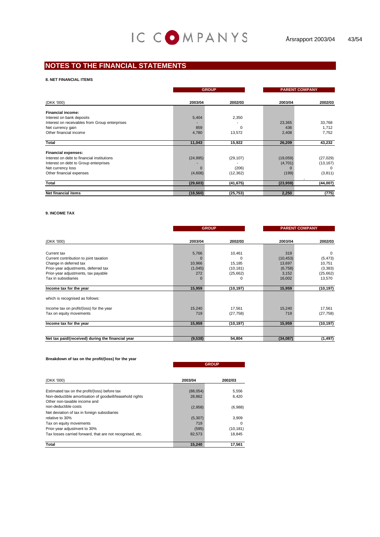#### **8. NET FINANCIAL ITEMS**

|                                                                          |           | <b>GROUP</b> |                     | <b>PARENT COMPANY</b>  |  |
|--------------------------------------------------------------------------|-----------|--------------|---------------------|------------------------|--|
| (DKK '000)                                                               | 2003/04   | 2002/03      | 2003/04             | 2002/03                |  |
| Financial income:                                                        |           |              |                     |                        |  |
| Interest on bank deposits                                                | 5,404     | 2,350        |                     |                        |  |
| Interest on receivables from Group enterprises                           |           |              | 23,365              | 33,768                 |  |
| Net currency gain                                                        | 859       | $\Omega$     | 436                 | 1,712                  |  |
| Other financial income                                                   | 4,780     | 13,572       | 2,408               | 7,752                  |  |
|                                                                          |           |              |                     |                        |  |
| Total                                                                    | 11,043    | 15,922       | 26,209              | 43,232                 |  |
|                                                                          |           |              |                     |                        |  |
| <b>Financial expenses:</b><br>Interest on debt to financial institutions |           |              |                     |                        |  |
| Interest on debt to Group enterprises                                    | (24, 995) | (29, 107)    | (19,059)<br>(4,701) | (27, 029)<br>(13, 167) |  |
| Net currency loss                                                        |           | (206)        |                     | $\Omega$               |  |
| Other financial expenses                                                 | (4,608)   | (12, 362)    | (199)               | (3, 811)               |  |
|                                                                          |           |              |                     |                        |  |
| Total                                                                    | (29, 603) | (41, 675)    | (23, 959)           | (44,007)               |  |
|                                                                          |           |              |                     |                        |  |
| <b>Net financial items</b>                                               | (18, 560) | (25, 753)    | 2,250               | (775)                  |  |

#### **9. INCOME TAX**

|                                                   |                | <b>GROUP</b> |           | <b>PARENT COMPANY</b> |  |  |
|---------------------------------------------------|----------------|--------------|-----------|-----------------------|--|--|
| (DKK '000)                                        | 2003/04        | 2002/03      | 2003/04   | 2002/03               |  |  |
|                                                   |                |              |           |                       |  |  |
| Current tax                                       | 5,766          | 10,461       | 319       | $\Omega$              |  |  |
| Current contribution to joint taxation            | 0              | 0            | (10, 453) | (5, 473)              |  |  |
| Change in deferred tax                            | 10,966         | 15,185       | 13,697    | 10,751                |  |  |
| Prior-year adjustments, deferred tax              | (1,045)        | (10, 181)    | (6,758)   | (3,383)               |  |  |
| Prior-year adjustments, tax payable               | 272            | (25,662)     | 3,152     | (25,662)              |  |  |
| Tax in subsidiaries                               | $\overline{0}$ | 0            | 16,002    | 13,570                |  |  |
| Income tax for the year                           | 15,959         | (10, 197)    | 15,959    | (10, 197)             |  |  |
| which is recognised as follows:                   |                |              |           |                       |  |  |
| Income tax on profit/(loss) for the year          | 15,240         | 17.561       | 15,240    | 17,561                |  |  |
| Tax on equity movements                           | 719            | (27, 758)    | 719       | (27, 758)             |  |  |
| Income tax for the year                           | 15,959         | (10, 197)    | 15,959    | (10, 197)             |  |  |
|                                                   |                |              |           |                       |  |  |
| Net tax paid/(received) during the financial year | (9, 538)       | 54,804       | (34,087)  | (1, 497)              |  |  |

#### **Breakdown of tax on the profit/(loss) for the year**

|                                                                                                                  |                   | <b>GROUP</b>     |  |  |  |
|------------------------------------------------------------------------------------------------------------------|-------------------|------------------|--|--|--|
| (DKK '000)                                                                                                       | 2003/04           | 2002/03          |  |  |  |
| Estimated tax on the profit/(loss) before tax                                                                    | (88,054)          | 5,556            |  |  |  |
| Non-deductible amortisation of goodwill/leasehold rights<br>Other non-taxable income and<br>non-deductible costs | 28,862<br>(2,958) | 6.420<br>(6,988) |  |  |  |
| Net deviation of tax in foreign subsidiaries<br>relative to 30%                                                  | (5, 307)          | 3,909            |  |  |  |
| Tax on equity movements                                                                                          | 719               |                  |  |  |  |
| Prior-year adjustment to 30%                                                                                     | (595)             | (10, 181)        |  |  |  |
| Tax losses carried forward, that are not recognised, etc.                                                        | 82,573            | 18,845           |  |  |  |
| Total                                                                                                            | 15,240            | 17.561           |  |  |  |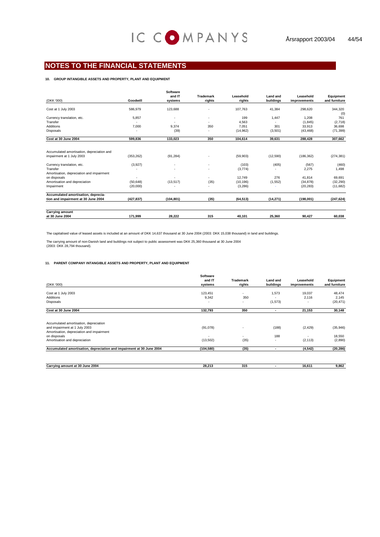#### **10. GROUP INTANGIBLE ASSETS AND PROPERTY, PLANT AND EQUIPMENT**

|                                            |            | <b>Software</b><br>and IT | <b>Trademark</b>         | Leasehold | <b>Land and</b> | Leasehold    | Equipment     |
|--------------------------------------------|------------|---------------------------|--------------------------|-----------|-----------------|--------------|---------------|
| (DKK '000)                                 | Goodwill   | systems                   | rights                   | rights    | buildings       | improvements | and furniture |
| Cost at 1 July 2003                        | 586,979    | 123,688                   | ٠                        | 107,763   | 41,384          | 298,620      | 344,320       |
|                                            |            |                           |                          |           |                 |              | (0)           |
| Currency translation, etc.                 | 5.857      | ٠                         | $\overline{\phantom{a}}$ | 199       | 1.447           | 1.208        | 761           |
| Transfer                                   | ۰          |                           |                          | 4.563     |                 | (1, 845)     | (2,718)       |
| <b>Additions</b>                           | 7.000      | 9.374                     | 350                      | 7.051     | 301             | 33,913       | 36,698        |
| <b>Disposals</b>                           |            | (39)                      |                          | (14,962)  | (3, 501)        | (43, 468)    | (71, 399)     |
| Cost at 30 June 2004                       | 599,836    | 133,023                   | 350                      | 104,614   | 39,631          | 288,428      | 307,662       |
|                                            |            |                           |                          |           |                 |              |               |
| Accumulated amortisation, depreciation and |            |                           |                          |           |                 |              |               |
| impairment at 1 July 2003                  | (353, 262) | (91, 284)                 |                          | (59,903)  | (12, 590)       | (186, 362)   | (274, 381)    |
| Currency translation, etc.                 | (3,927)    | ٠                         | ٠                        | (103)     | (405)           | (567)        | (460)         |
| Transfer                                   | ٠          | ٠                         | ٠                        | (3,774)   | ۰               | 2,275        | 1,498         |
| Amortisation, depreciation and impairment  |            |                           |                          |           |                 |              |               |
| on disposals                               | ٠          |                           |                          | 12.749    | 276             | 41.814       | 69,691        |
| Amortisation and depreciation              | (50, 648)  | (13, 517)                 | (35)                     | (10, 196) | (1, 552)        | (34, 878)    | (32, 290)     |
| Impairment                                 | (20,000)   |                           | ٠                        | (3, 286)  |                 | (20, 283)    | (11,682)      |
| Accumulated amortisation, deprecia-        |            |                           |                          |           |                 |              |               |
| tion and impairment at 30 June 2004        | (427, 837) | (104, 801)                | (35)                     | (64, 513) | (14, 271)       | (198,001)    | (247, 624)    |
|                                            |            |                           |                          |           |                 |              |               |
| <b>Carrying amount</b>                     |            |                           |                          |           |                 |              |               |
| at 30 June 2004                            | 171.999    | 28.222                    | 315                      | 40.101    | 25.360          | 90.427       | 60.038        |

The capitalised value of leased assets is included at an amount of DKK 14,637 thousand at 30 June 2004 (2003: DKK 15,038 thousand) in land and buildings.

The carrying amount of non-Danish land and buildings not subject to public assessment was DKK 25,360 thousand at 30 June 2004 (2003: DKK 28,794 thousand).

#### **11. PARENT COMPANY INTANGIBLE ASSETS AND PROPERTY, PLANT AND EQUIPMENT**

| (DKK '000)                                                            | <b>Software</b><br>and IT<br>systems | Trademark<br>rights      | <b>Land and</b><br>buildings | Leasehold<br>improvements | Equipment<br>and furniture |
|-----------------------------------------------------------------------|--------------------------------------|--------------------------|------------------------------|---------------------------|----------------------------|
| Cost at 1 July 2003                                                   | 123,451                              |                          | 1,573                        | 19,037                    | 48,474                     |
| Additions                                                             | 9,342                                | 350                      |                              | 2,116                     | 2,145                      |
| Disposals                                                             | $\overline{\phantom{a}}$             | $\overline{\phantom{a}}$ | (1, 573)                     |                           | (20, 471)                  |
| Cost at 30 June 2004                                                  | 132,793                              | 350                      | ٠                            | 21,153                    | 30,148                     |
| Accumulated amortisation, depreciation                                |                                      |                          |                              |                           |                            |
| and impairment at 1 July 2003                                         | (91,078)                             |                          | (188)                        | (2, 429)                  | (35,946)                   |
| Amortisation, depreciation and impairment<br>on disposals             |                                      |                          | 188                          |                           | 18,550                     |
| Amortisation and depreciation                                         | (13,502)                             | (35)                     | ٠                            | (2, 113)                  | (2,890)                    |
| Accumulated amortisation, depreciation and impairment at 30 June 2004 | (104, 580)                           | (35)                     | ۰                            | (4, 542)                  | (20, 286)                  |
|                                                                       |                                      |                          |                              |                           |                            |

| J June 2004<br>- -<br>~-<br>amount at 30<br>⊶arrvınc | 30.34C<br>28.ZT | - - -<br>515 | 16.61 | 9.862 |
|------------------------------------------------------|-----------------|--------------|-------|-------|
|                                                      |                 |              |       |       |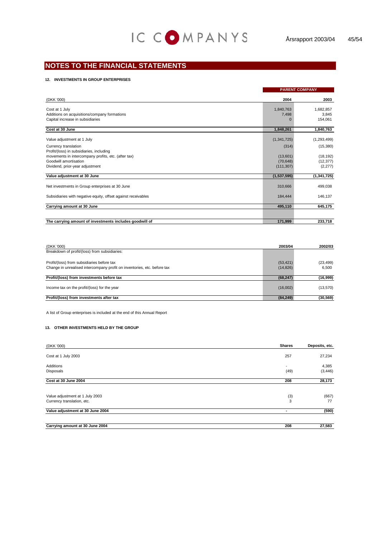#### **12. INVESTMENTS IN GROUP ENTERPRISES**

|                                                               |             | <b>PARENT COMPANY</b> |
|---------------------------------------------------------------|-------------|-----------------------|
| (DKK '000)                                                    | 2004        | 2003                  |
| Cost at 1 July                                                | 1,840,763   | 1,682,857             |
| Additions on acquisitions/company formations                  | 7,498       | 3,845                 |
| Capital increase in subsidiaries                              | $\mathbf 0$ | 154,061               |
| Cost at 30 June                                               | 1,848,261   | 1,840,763             |
| Value adjustment at 1 July                                    | (1,341,725) | (1, 293, 499)         |
| Currency translation                                          | (314)       | (15,380)              |
| Profit/(loss) in subsidiaries, including                      |             |                       |
| movements in intercompany profits, etc. (after tax)           | (13,601)    | (18, 192)             |
| Goodwill amortisation                                         | (70, 648)   | (12, 377)             |
| Dividend, prior-year adjustment                               | (111, 307)  | (2, 277)              |
| Value adjustment at 30 June                                   | (1,537,595) | (1, 341, 725)         |
| Net investments in Group enterprises at 30 June               | 310,666     | 499,038               |
| Subsidiaries with negative equity, offset against receivables | 184,444     | 146,137               |
| Carrying amount at 30 June                                    | 495,110     | 645,175               |
|                                                               |             |                       |
| The carrying amount of investments includes goodwill of       | 171,999     | 233,718               |

| (DKK '000)                                                               | 2003/04   | 2002/03   |
|--------------------------------------------------------------------------|-----------|-----------|
| Breakdown of profit/(loss) from subsidiaries:                            |           |           |
| Profit/(loss) from subsidiaries before tax                               | (53, 421) | (23, 499) |
| Change in unrealised intercompany profit on inventories, etc. before tax | (14, 826) | 6.500     |
| Profit/(loss) from investments before tax                                | (68, 247) | (16,999)  |
| Income tax on the profit/(loss) for the year                             | (16,002)  | (13, 570) |
| Profit/(loss) from investments after tax                                 | (84, 249) | (30, 569) |

A list of Group enterprises is included at the end of this Annual Report

#### **13. OTHER INVESTMENTS HELD BY THE GROUP**

| (DKK '000)                       | <b>Shares</b>            | Deposits, etc. |
|----------------------------------|--------------------------|----------------|
| Cost at 1 July 2003              | 257                      | 27,234         |
| Additions                        | $\overline{\phantom{a}}$ | 4,385          |
| Disposals                        | (49)                     | (3, 446)       |
| Cost at 30 June 2004             | 208                      | 28,173         |
| Value adjustment at 1 July 2003  | (3)                      | (667)          |
| Currency translation, etc.       | 3                        | 77             |
| Value adjustment at 30 June 2004 | $\overline{\phantom{a}}$ | (590)          |
| Carrying amount at 30 June 2004  | 208                      | 27,583         |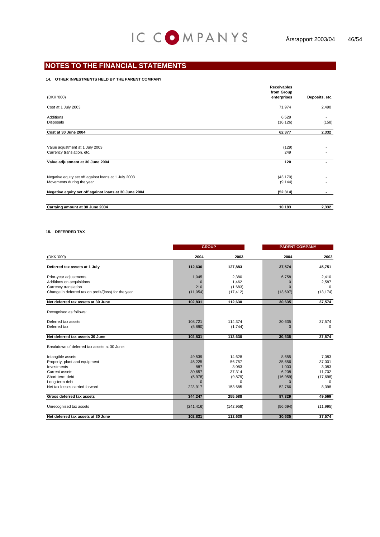#### **14. OTHER INVESTMENTS HELD BY THE PARENT COMPANY**

|                                                               | <b>Receivables</b>        |                          |
|---------------------------------------------------------------|---------------------------|--------------------------|
| (DKK '000)                                                    | from Group<br>enterprises | Deposits, etc.           |
| Cost at 1 July 2003                                           | 71,974                    | 2,490                    |
| Additions                                                     | 6,529                     | $\overline{\phantom{a}}$ |
| Disposals                                                     | (16, 126)                 | (158)                    |
| Cost at 30 June 2004                                          | 62,377                    | 2,332                    |
| Value adjustment at 1 July 2003<br>Currency translation, etc. | (129)<br>249              |                          |
| Value adjustment at 30 June 2004                              | 120                       | . .                      |
| Negative equity set off against loans at 1 July 2003          | (43, 170)                 |                          |
| Movements during the year                                     | (9, 144)                  |                          |
| Negative equity set off against loans at 30 June 2004         | (52, 314)                 |                          |
| Carrying amount at 30 June 2004                               | 10,183                    | 2,332                    |

#### **15. DEFERRED TAX**

|                                                      |            | <b>GROUP</b> |           | <b>PARENT COMPANY</b> |  |
|------------------------------------------------------|------------|--------------|-----------|-----------------------|--|
| (DKK '000)                                           | 2004       | 2003         | 2004      | 2003                  |  |
| Deferred tax assets at 1 July                        | 112,630    | 127,883      | 37,574    | 45,751                |  |
| Prior-year adjustments                               | 1,045      | 2,380        | 6,758     | 2.410                 |  |
| Additions on acquisitions                            | $\Omega$   | 1,462        | $\Omega$  | 2,587                 |  |
| Currency translation                                 | 210        | (1,683)      | $\Omega$  | $\Omega$              |  |
| Change in deferred tax on profit/(loss) for the year | (11, 054)  | (17, 412)    | (13, 697) | (13, 174)             |  |
| Net deferred tax assets at 30 June                   | 102,831    | 112,630      | 30,635    | 37,574                |  |
| Recognised as follows:                               |            |              |           |                       |  |
| Deferred tax assets                                  | 108,721    | 114,374      | 30,635    | 37,574                |  |
| Deferred tax                                         | (5,890)    | (1,744)      | $\Omega$  | $\Omega$              |  |
| Net deferred tax assets 30 June                      | 102,831    | 112,630      | 30,635    | 37,574                |  |
| Breakdown of deferred tax assets at 30 June:         |            |              |           |                       |  |
| Intangible assets                                    | 49.539     | 14,628       | 8.655     | 7.083                 |  |
| Property, plant and equipment                        | 45,225     | 56,757       | 35,656    | 37,001                |  |
| Investments                                          | 887        | 3,083        | 1,003     | 3,083                 |  |
| Current assets                                       | 30,657     | 37,314       | 6,208     | 11,702                |  |
| Short-term debt                                      | (5,978)    | (9,879)      | (16, 959) | (17,698)              |  |
| Long-term debt                                       | $\Omega$   | $\Omega$     | $\Omega$  | $\Omega$              |  |
| Net tax losses carried forward                       | 223,917    | 153,685      | 52,766    | 8,398                 |  |
| Gross deferred tax assets                            | 344,247    | 255,588      | 87,329    | 49,569                |  |
| Unrecognised tax assets                              | (241, 416) | (142, 958)   | (56, 694) | (11, 995)             |  |
| Net deferred tax assets at 30 June                   | 102.831    | 112,630      | 30.635    | 37.574                |  |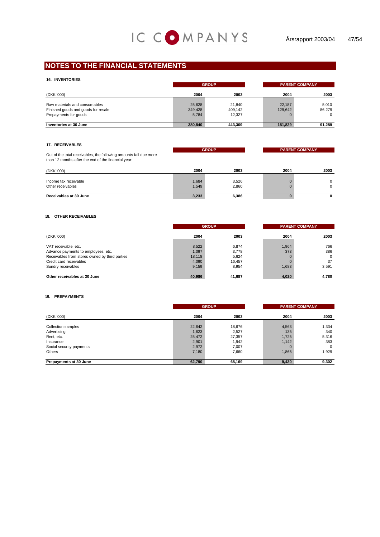| <b>16. INVENTORIES</b>                                                                        |                            | <b>GROUP</b>                |                   | <b>PARENT COMPANY</b> |  |  |
|-----------------------------------------------------------------------------------------------|----------------------------|-----------------------------|-------------------|-----------------------|--|--|
| (DKK '000)                                                                                    | 2004                       | 2003                        | 2004              | 2003                  |  |  |
| Raw materials and consumables<br>Finished goods and goods for resale<br>Prepayments for goods | 25,628<br>349,428<br>5,784 | 21.840<br>409.142<br>12.327 | 22.187<br>129,642 | 5.010<br>86.279       |  |  |
| Inventories at 30 June                                                                        | 380.840                    | 443.309                     | 151,829           | 91.289                |  |  |

#### **17. RECEIVABLES**

| Out of the total receivables, the following amounts fall due more<br>than 12 months after the end of the financial year: |                | <b>GROUP</b>   |      | <b>PARENT COMPANY</b> |
|--------------------------------------------------------------------------------------------------------------------------|----------------|----------------|------|-----------------------|
| (DKK '000)                                                                                                               | 2004           | 2003           | 2004 | 2003                  |
| Income tax receivable<br>Other receivables                                                                               | 1,684<br>1,549 | 3.526<br>2,860 |      | $\Omega$              |
| Receivables at 30 June                                                                                                   | 3.233          | 6.386          |      | n                     |

#### **18. OTHER RECEIVABLES**

|                                                |        | <b>GROUP</b> |       | <b>PARENT COMPANY</b> |  |
|------------------------------------------------|--------|--------------|-------|-----------------------|--|
| (DKK '000)                                     | 2004   | 2003         | 2004  | 2003                  |  |
| VAT receivable, etc.                           | 8,522  | 6.874        | 1.964 | 766                   |  |
| Advance payments to employees, etc.            | 1,097  | 3.778        | 373   | 386                   |  |
| Receivables from stores owned by third parties | 18,118 | 5,624        |       | $\Omega$              |  |
| Credit card receivables                        | 4,090  | 16.457       |       | 37                    |  |
| Sundry receivables                             | 9,159  | 8.954        | 1.683 | 3,591                 |  |
| Other receivables at 30 June                   | 40.986 | 41,687       | 4.020 | 4,780                 |  |

#### **19. PREPAYMENTS**

|                                       | <b>GROUP</b>    |                 |              | <b>PARENT COMPANY</b> |
|---------------------------------------|-----------------|-----------------|--------------|-----------------------|
| (DKK '000)                            | 2004            | 2003            | 2004         | 2003                  |
| Collection samples                    | 22,642          | 18,676          | 4,563        | 1,334                 |
| Advertising<br>Rent, etc.             | 1,623<br>25,472 | 2,527<br>27,357 | 135<br>1,725 | 340<br>5,316          |
| Insurance<br>Social security payments | 2,901<br>2,972  | 1,942<br>7,007  | 1,142        | 383<br>$\Omega$       |
| Others                                | 7,180           | 7,660           | 1,865        | 1,929                 |
| Prepayments at 30 June                | 62,790          | 65,169          | 9,430        | 9,302                 |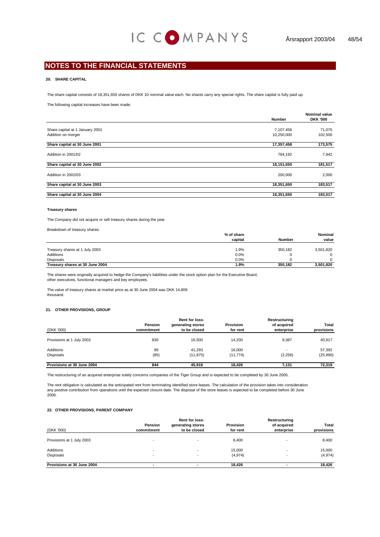#### **20. SHARE CAPITAL**

The share capital consists of 18,351,650 shares of DKK 10 nominal value each. No shares carry any special rights. The share capital is fully paid up.

The following capital increases have been made:

|                                 | <b>Number</b> | <b>Nominal value</b><br><b>DKK '000</b> |
|---------------------------------|---------------|-----------------------------------------|
| Share capital at 1 January 2001 | 7,107,458     | 71,075                                  |
| Addition on merger              | 10,250,000    | 102,500                                 |
| Share capital at 30 June 2001   | 17,357,458    | 173,575                                 |
| Addition in 2001/02             | 794,192       | 7,942                                   |
| Share capital at 30 June 2002   | 18,151,650    | 181,517                                 |
| Addition in 2002/03             | 200,000       | 2,000                                   |
| Share capital at 30 June 2003   | 18,351,650    | 183,517                                 |
| Share capital at 30 June 2004   | 18,351,650    | 183,517                                 |

#### **Treasury shares**

The Company did not acquire or sell treasury shares during the year.

Breakdown of treasury shares:

|                                 | % of share |               | Nominal   |
|---------------------------------|------------|---------------|-----------|
|                                 | capital    | <b>Number</b> | value     |
|                                 |            |               |           |
| Treasury shares at 1 July 2003  | 1.9%       | 350.182       | 3,501,820 |
| Additions                       | 0.0%       |               |           |
| <b>Disposals</b>                | 0.0%       |               |           |
| Treasury shares at 30 June 2004 | 1.9%       | 350.182       | 3,501,820 |

The shares were originally acquired to hedge the Company's liabilities under the stock option plan for the Executive Board, other executives, functional managers and key employees.

The value of treasury shares at market price as at 30 June 2004 was DKK 14,809 thousand.

#### **21. OTHER PROVISIONS, GROUP**

|                            |            | Rent for loss-    |                  | Restructuring |            |  |
|----------------------------|------------|-------------------|------------------|---------------|------------|--|
|                            | Pension    | generating stores | <b>Provision</b> | of acquired   | Total      |  |
| (DKK '000)                 | commitment | to be closed      | for rent         | enterprise    | provisions |  |
| Provisions at 1 July 2003  | 830        | 16.500            | 14.200           | 9.387         | 40.917     |  |
| Additions                  | 99         | 41.293            | 16.000           | -             | 57.392     |  |
| <b>Disposals</b>           | (85)       | (11, 875)         | (11, 774)        | (2, 256)      | (25,990)   |  |
| Provisions at 30 June 2004 | 844        | 45.918            | 18.426           | 7.131         | 72.319     |  |

The restructuring of an acquired enterprise solely concerns companies of the Tiger Group and is expected to be completed by 30 June 2005.

The rent obligation is calculated as the anticipated rent from terminating identified store leases. The calculation of the provision takes into consideration 2006. any positive contribution from operations until the expected closure date. The disposal of the store leases is expected to be completed before 30 June

#### **22. OTHER PROVISIONS, PARENT COMPANY**

| (DKK '000)                    | Pension<br>commitment | Rent for loss-<br>generating stores<br>to be closed | <b>Provision</b><br>for rent | Restructuring<br>of acquired<br>enterprise | Total<br>provisions |
|-------------------------------|-----------------------|-----------------------------------------------------|------------------------------|--------------------------------------------|---------------------|
| Provisions at 1 July 2003     |                       |                                                     | 8.400                        |                                            | 8,400               |
| Additions<br><b>Disposals</b> |                       |                                                     | 15.000<br>(4, 974)           |                                            | 15,000<br>(4, 974)  |
| Provisions at 30 June 2004    |                       |                                                     | 18,426                       |                                            | 18,426              |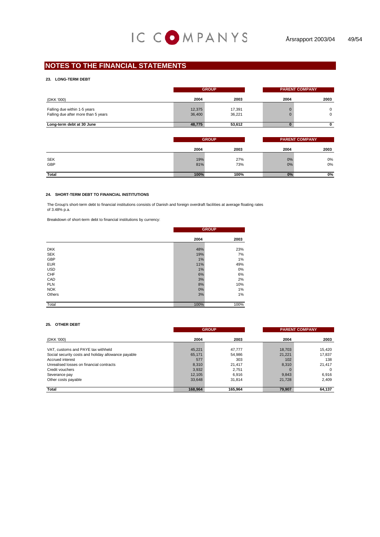#### **23. LONG-TERM DEBT**

|                                                                     |                  | <b>GROUP</b>     |      | <b>PARENT COMPANY</b> |
|---------------------------------------------------------------------|------------------|------------------|------|-----------------------|
| (DKK '000)                                                          | 2004             | 2003             | 2004 | 2003                  |
| Falling due within 1-5 years<br>Falling due after more than 5 years | 12,375<br>36,400 | 17.391<br>36,221 |      | $\Omega$<br>$\Omega$  |
| Long-term debt at 30 June                                           | 48,775           | 53.612           |      |                       |

|                   | <b>GROUP</b> |            | <b>PARENT COMPANY</b> |          |
|-------------------|--------------|------------|-----------------------|----------|
|                   | 2004         | 2003       | 2004                  | 2003     |
| <b>SEK</b><br>GBP | 19%<br>81%   | 27%<br>73% | 0%<br>0%              | 0%<br>0% |
| Total             | 100%         | 100%       | 0%                    | 0%       |

#### **24. SHORT-TERM DEBT TO FINANCIAL INSTITUTIONS**

The Group's short-term debt to financial institutions consists of Danish and foreign overdraft facilities at average floating rates of 3.48% p.a.

Breakdown of short-term debt to financial institutions by currency:

|            |      | <b>GROUP</b> |
|------------|------|--------------|
|            | 2004 | 2003         |
|            |      |              |
| <b>DKK</b> | 48%  | 23%          |
| <b>SEK</b> | 19%  | 7%           |
| GBP        | 1%   | 1%           |
| <b>EUR</b> | 11%  | 49%          |
| <b>USD</b> | 1%   | 0%           |
| CHF        | 6%   | 6%           |
| CAD        | 3%   | 2%           |
| <b>PLN</b> | 8%   | 10%          |
| <b>NOK</b> | 0%   | 1%           |
| Others     | 3%   | 1%           |
| Total      | 100% | 100%         |

#### **25. OTHER DEBT**

|                                                     | <b>GROUP</b> |         |        | <b>PARENT COMPANY</b> |  |
|-----------------------------------------------------|--------------|---------|--------|-----------------------|--|
| (DKK '000)                                          | 2004         | 2003    | 2004   | 2003                  |  |
| VAT, customs and PAYE tax withheld                  | 45.221       | 47.777  | 18.703 | 15.420                |  |
| Social security costs and holiday allowance payable | 65,171       | 54,986  | 21,221 | 17,837                |  |
| Accrued interest                                    | 577          | 303     | 102    | 138                   |  |
| Unrealised losses on financial contracts            | 8,310        | 21,417  | 8.310  | 21,417                |  |
| Credit vouchers                                     | 3,932        | 2,751   |        | $\Omega$              |  |
| Severance pay                                       | 12,105       | 6.916   | 9.843  | 6,916                 |  |
| Other costs payable                                 | 33,648       | 31,814  | 21,728 | 2,409                 |  |
| Total                                               | 168,964      | 165,964 | 79,907 | 64,137                |  |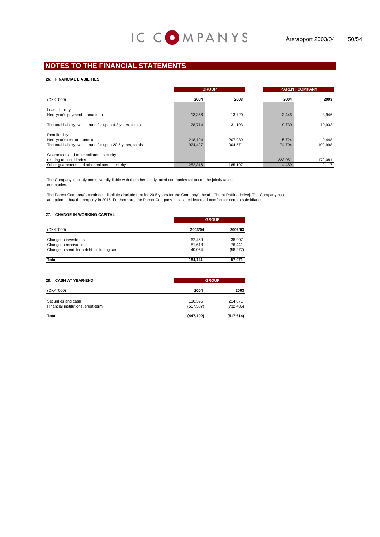#### **26. FINANCIAL LIABILITIES**

|                                                              | <b>GROUP</b> |         |         | <b>PARENT COMPANY</b> |  |
|--------------------------------------------------------------|--------------|---------|---------|-----------------------|--|
| (DKK '000)                                                   | 2004         | 2003    | 2004    | 2003                  |  |
| Lease liability:                                             |              |         |         |                       |  |
|                                                              |              |         |         |                       |  |
| Next year's payment amounts to                               | 13,356       | 13.720  | 3,446   | 3,946                 |  |
| The total liability, which runs for up to 4.8 years, totals  | 28,714       | 31.193  | 9,730   | 10,933                |  |
|                                                              |              |         |         |                       |  |
| Rent liability:                                              |              |         |         |                       |  |
| Next year's rent amounts to                                  | 218.194      | 207.939 | 5.724   | 9,448                 |  |
| The total liability, which runs for up to 20.5 years, totals | 924,427      | 904.571 | 174,704 | 192,998               |  |
|                                                              |              |         |         |                       |  |
| Guarantees and other collateral security                     |              |         |         |                       |  |
| relating to subsidiaries                                     |              |         | 223,951 | 172,081               |  |
| Other quarantees and other collateral security               | 252,316      | 185,197 | 4,489   | 2.117                 |  |

The Company is jointly and severally liable with the other jointly taxed companies for tax on the jointly taxed companies.

The Parent Company's contingent liabilities include rent for 20.5 years for the Company's head office at Raffinaderivej. The Company has an option to buy the property in 2015. Furthermore, the Parent Company has issued letters of comfort for certain subsidiaries.

#### **27. CHANGE IN WORKING CAPITAL**

|                                         | <b>GROUP</b> |           |  |  |
|-----------------------------------------|--------------|-----------|--|--|
| (DKK '000)                              | 2003/04      | 2002/03   |  |  |
| Change in inventories                   | 62,469       | 38,907    |  |  |
| Change in receivables                   | 81,618       | 76.441    |  |  |
| Change in short-term debt excluding tax | 40.054       | (58, 277) |  |  |
| Total                                   | 184.141      | 57,071    |  |  |

| 28. CASH AT YEAR-END               | <b>GROUP</b> |            |
|------------------------------------|--------------|------------|
| (DKK '000)                         | 2004         | 2003       |
| Securities and cash                | 110,395      | 214.871    |
| Financial institutions, short-term | (557, 587)   | (732, 485) |
| Total                              | (447, 192)   | (517, 614) |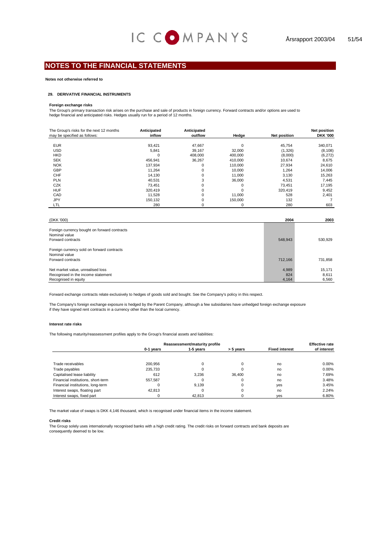#### **Notes not otherwise referred to**

#### **29. DERIVATIVE FINANCIAL INSTRUMENTS**

#### **Foreign exchange risks**

The Group's primary transaction risk arises on the purchase and sale of products in foreign currency. Forward contracts and/or options are used to hedge financial and anticipated risks. Hedges usually run for a period of 12 months.

| The Group's risks for the next 12 months | Anticipated | Anticipated |         |                     | <b>Net position</b> |
|------------------------------------------|-------------|-------------|---------|---------------------|---------------------|
| may be specified as follows:             | inflow      | outflow     | Hedge   | <b>Net position</b> | <b>DKK '000</b>     |
|                                          |             |             |         |                     |                     |
| <b>EUR</b>                               | 93,421      | 47,667      | 0       | 45.754              | 340,071             |
| <b>USD</b>                               | 5.841       | 39,167      | 32,000  | (1,326)             | (8, 108)            |
| <b>HKD</b>                               | 0           | 408.000     | 400,000 | (8,000)             | (6,272)             |
| <b>SEK</b>                               | 456,941     | 36,267      | 410,000 | 10.674              | 8,675               |
| <b>NOK</b>                               | 137.934     | 0           | 110.000 | 27.934              | 24,610              |
| GBP                                      | 11.264      | 0           | 10,000  | 1,264               | 14,006              |
| <b>CHF</b>                               | 14,130      | 0           | 11.000  | 3,130               | 15,263              |
| <b>PLN</b>                               | 40,531      | 3           | 36,000  | 4,531               | 7,445               |
| <b>CZK</b>                               | 73.451      | 0           | 0       | 73.451              | 17,195              |
| <b>HUF</b>                               | 320.419     | 0           | 0       | 320,419             | 9,452               |
| CAD                                      | 11.528      | 0           | 11.000  | 528                 | 2,401               |
| <b>JPY</b>                               | 150.132     | 0           | 150.000 | 132                 |                     |
| LTL                                      | 280         | 0           | 0       | 280                 | 603                 |

| (DKK '000)                                                                                      | 2004                  | 2003                     |
|-------------------------------------------------------------------------------------------------|-----------------------|--------------------------|
| Foreign currency bought on forward contracts<br>Nominal value<br>Forward contracts              | 548,943               | 530,929                  |
| Foreign currency sold on forward contracts<br>Nominal value<br>Forward contracts                | 712,166               | 731,858                  |
| Net market value, unrealised loss<br>Recognised in the income statement<br>Recognised in equity | 4,989<br>824<br>4,164 | 15,171<br>8.611<br>6,560 |

Forward exchange contracts relate exclusively to hedges of goods sold and bought. See the Company's policy in this respect.

The Company's foreign exchange exposure is hedged by the Parent Company, although a few subsidiaries have unhedged foreign exchange exposure if they have signed rent contracts in a currency other than the local currency.

#### **Interest rate risks**

The following maturity/reassessment profiles apply to the Group's financial assets and liabilities:

|                                    | Reassessment/maturity profile |           |           |                       | <b>Effective rate</b> |
|------------------------------------|-------------------------------|-----------|-----------|-----------------------|-----------------------|
|                                    | 0-1 years                     | 1-5 years | > 5 years | <b>Fixed interest</b> | of interest           |
|                                    |                               |           |           |                       |                       |
| Trade receivables                  | 200.956                       |           |           | no                    | $0.00\%$              |
| Trade payables                     | 235.733                       |           |           | no                    | $0.00\%$              |
| Capitalised lease liability        | 612                           | 3.236     | 36.400    | no                    | 7.69%                 |
| Financial institutions, short-term | 557.587                       |           |           | no                    | 3.48%                 |
| Financial institutions, long-term  |                               | 9.139     | 0         | yes                   | 3.45%                 |
| Interest swaps, floating part      | 42.813                        |           |           | no                    | 2.24%                 |
| Interest swaps, fixed part         |                               | 42.813    |           | ves                   | 6.80%                 |

The market value of swaps is DKK 4,146 thousand, which is recognised under financial items in the income statement.

#### **Credit risks**

The Group solely uses internationally recognised banks with a high credit rating. The credit risks on forward contracts and bank deposits are consequently deemed to be low.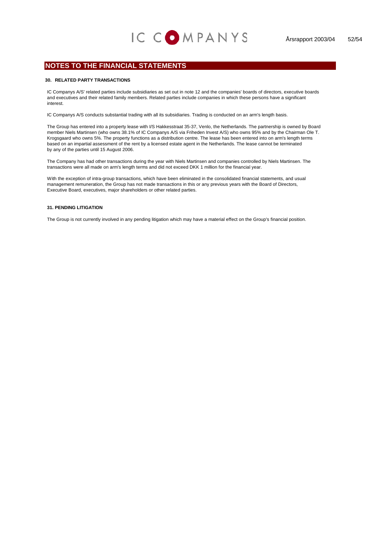#### **30. RELATED PARTY TRANSACTIONS**

IC Companys A/S' related parties include subsidiaries as set out in note 12 and the companies' boards of directors, executive boards and executives and their related family members. Related parties include companies in which these persons have a significant interest.

IC Companys A/S conducts substantial trading with all its subsidiaries. Trading is conducted on an arm's length basis.

The Group has entered into a property lease with I/S Hakkesstraat 35-37, Venlo, the Netherlands. The partnership is owned by Board member Niels Martinsen (who owns 38.1% of IC Companys A/S via Friheden Invest A/S) who owns 95% and by the Chairman Ole T. Krogsgaard who owns 5%. The property functions as a distribution centre. The lease has been entered into on arm's length terms based on an impartial assessment of the rent by a licensed estate agent in the Netherlands. The lease cannot be terminated by any of the parties until 15 August 2006.

The Company has had other transactions during the year with Niels Martinsen and companies controlled by Niels Martinsen. The transactions were all made on arm's length terms and did not exceed DKK 1 million for the financial year.

With the exception of intra-group transactions, which have been eliminated in the consolidated financial statements, and usual management remuneration, the Group has not made transactions in this or any previous years with the Board of Directors, Executive Board, executives, major shareholders or other related parties.

#### **31. PENDING LITIGATION**

The Group is not currently involved in any pending litigation which may have a material effect on the Group's financial position.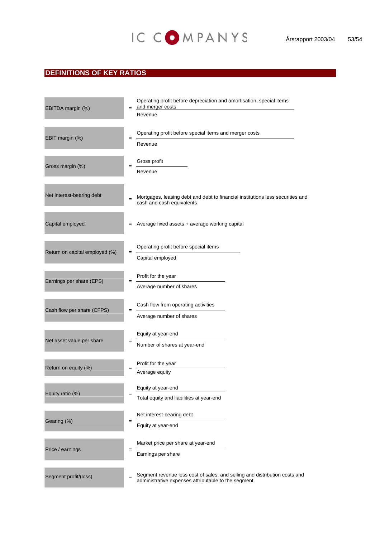## **DEFINITIONS OF KEY RATIOS**